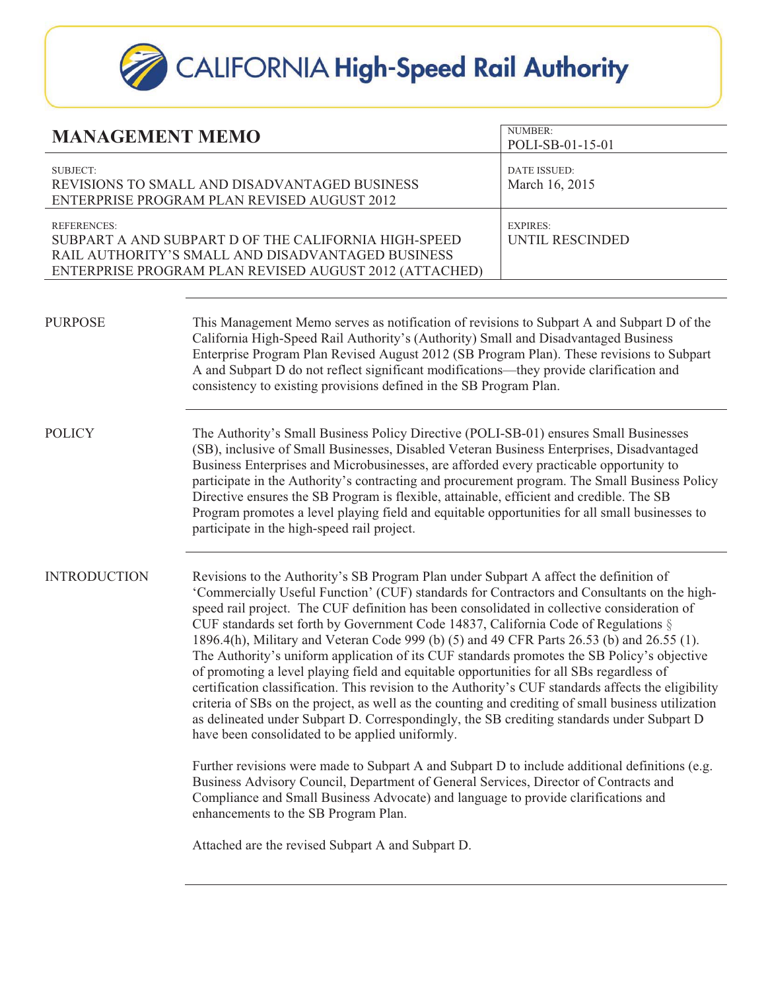

| <b>MANAGEMENT MEMO</b>                                                                                                                                                             |                                                                                                                                                                                                                                                                                                                                                                                                                                                                                                                                                                                                                                                                                                                                                                                                                                                                                                                                                                                                                                                                                                                                                                                                                                 | NUMBER:<br>POLI-SB-01-15-01        |
|------------------------------------------------------------------------------------------------------------------------------------------------------------------------------------|---------------------------------------------------------------------------------------------------------------------------------------------------------------------------------------------------------------------------------------------------------------------------------------------------------------------------------------------------------------------------------------------------------------------------------------------------------------------------------------------------------------------------------------------------------------------------------------------------------------------------------------------------------------------------------------------------------------------------------------------------------------------------------------------------------------------------------------------------------------------------------------------------------------------------------------------------------------------------------------------------------------------------------------------------------------------------------------------------------------------------------------------------------------------------------------------------------------------------------|------------------------------------|
| <b>SUBJECT:</b><br>REVISIONS TO SMALL AND DISADVANTAGED BUSINESS<br>ENTERPRISE PROGRAM PLAN REVISED AUGUST 2012                                                                    |                                                                                                                                                                                                                                                                                                                                                                                                                                                                                                                                                                                                                                                                                                                                                                                                                                                                                                                                                                                                                                                                                                                                                                                                                                 | DATE ISSUED:<br>March 16, 2015     |
| REFERENCES:<br>SUBPART A AND SUBPART D OF THE CALIFORNIA HIGH-SPEED<br>RAIL AUTHORITY'S SMALL AND DISADVANTAGED BUSINESS<br>ENTERPRISE PROGRAM PLAN REVISED AUGUST 2012 (ATTACHED) |                                                                                                                                                                                                                                                                                                                                                                                                                                                                                                                                                                                                                                                                                                                                                                                                                                                                                                                                                                                                                                                                                                                                                                                                                                 | <b>EXPIRES:</b><br>UNTIL RESCINDED |
| <b>PURPOSE</b>                                                                                                                                                                     | This Management Memo serves as notification of revisions to Subpart A and Subpart D of the<br>California High-Speed Rail Authority's (Authority) Small and Disadvantaged Business<br>Enterprise Program Plan Revised August 2012 (SB Program Plan). These revisions to Subpart<br>A and Subpart D do not reflect significant modifications—they provide clarification and<br>consistency to existing provisions defined in the SB Program Plan.                                                                                                                                                                                                                                                                                                                                                                                                                                                                                                                                                                                                                                                                                                                                                                                 |                                    |
| <b>POLICY</b>                                                                                                                                                                      | The Authority's Small Business Policy Directive (POLI-SB-01) ensures Small Businesses<br>(SB), inclusive of Small Businesses, Disabled Veteran Business Enterprises, Disadvantaged<br>Business Enterprises and Microbusinesses, are afforded every practicable opportunity to<br>participate in the Authority's contracting and procurement program. The Small Business Policy<br>Directive ensures the SB Program is flexible, attainable, efficient and credible. The SB<br>Program promotes a level playing field and equitable opportunities for all small businesses to<br>participate in the high-speed rail project.                                                                                                                                                                                                                                                                                                                                                                                                                                                                                                                                                                                                     |                                    |
| <b>INTRODUCTION</b>                                                                                                                                                                | Revisions to the Authority's SB Program Plan under Subpart A affect the definition of<br>'Commercially Useful Function' (CUF) standards for Contractors and Consultants on the high-<br>speed rail project. The CUF definition has been consolidated in collective consideration of<br>CUF standards set forth by Government Code 14837, California Code of Regulations $\S$<br>1896.4(h), Military and Veteran Code 999 (b) (5) and 49 CFR Parts 26.53 (b) and 26.55 (1).<br>The Authority's uniform application of its CUF standards promotes the SB Policy's objective<br>of promoting a level playing field and equitable opportunities for all SBs regardless of<br>certification classification. This revision to the Authority's CUF standards affects the eligibility<br>criteria of SBs on the project, as well as the counting and crediting of small business utilization<br>as delineated under Subpart D. Correspondingly, the SB crediting standards under Subpart D<br>have been consolidated to be applied uniformly.<br>Further revisions were made to Subpart A and Subpart D to include additional definitions (e.g.<br>Business Advisory Council, Department of General Services, Director of Contracts and |                                    |
|                                                                                                                                                                                    | Compliance and Small Business Advocate) and language to provide clarifications and<br>enhancements to the SB Program Plan.<br>Attached are the revised Subpart A and Subpart D.                                                                                                                                                                                                                                                                                                                                                                                                                                                                                                                                                                                                                                                                                                                                                                                                                                                                                                                                                                                                                                                 |                                    |
|                                                                                                                                                                                    |                                                                                                                                                                                                                                                                                                                                                                                                                                                                                                                                                                                                                                                                                                                                                                                                                                                                                                                                                                                                                                                                                                                                                                                                                                 |                                    |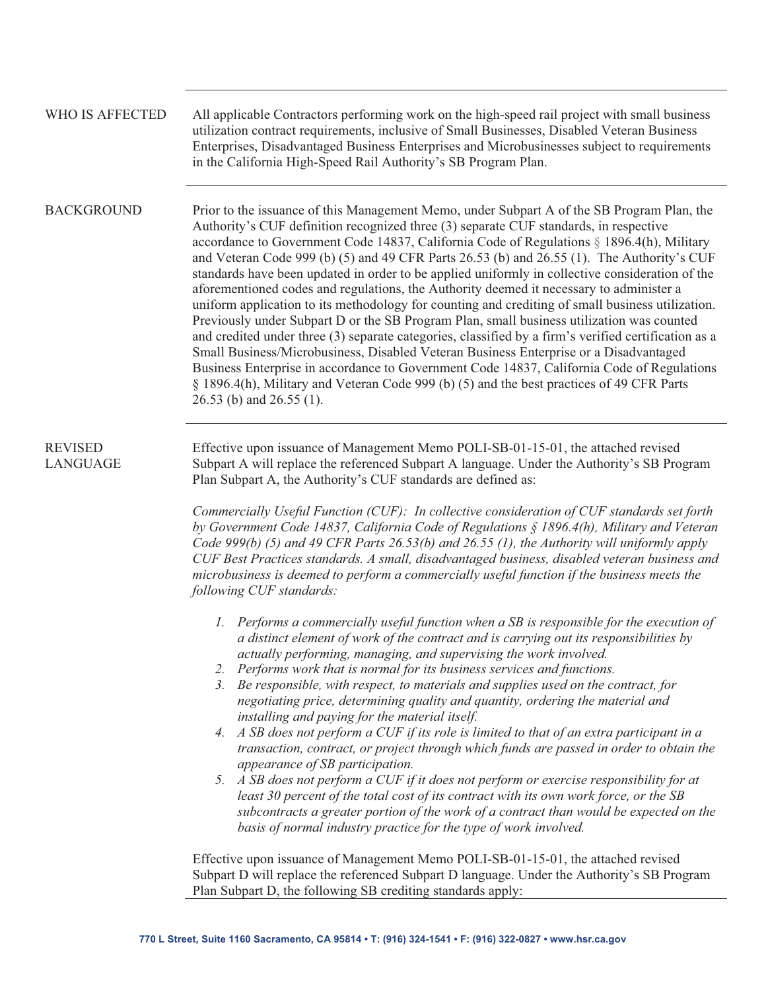| WHO IS AFFECTED                   | All applicable Contractors performing work on the high-speed rail project with small business<br>utilization contract requirements, inclusive of Small Businesses, Disabled Veteran Business<br>Enterprises, Disadvantaged Business Enterprises and Microbusinesses subject to requirements<br>in the California High-Speed Rail Authority's SB Program Plan.                                                                                                                                                                                                                                                                                                                                                                                                                                                                                                                                                                                                                                                                                                                                                                                                                                                                                                                                                                                                                                                                                                                                                                                                                                                                                                                                                                                                                                                                                                                                                                                                                                                                                                                                                                                                                                                                                                                                                                                                                                                                                                                                                                                                                                                                                                                                                                                                                       |  |
|-----------------------------------|-------------------------------------------------------------------------------------------------------------------------------------------------------------------------------------------------------------------------------------------------------------------------------------------------------------------------------------------------------------------------------------------------------------------------------------------------------------------------------------------------------------------------------------------------------------------------------------------------------------------------------------------------------------------------------------------------------------------------------------------------------------------------------------------------------------------------------------------------------------------------------------------------------------------------------------------------------------------------------------------------------------------------------------------------------------------------------------------------------------------------------------------------------------------------------------------------------------------------------------------------------------------------------------------------------------------------------------------------------------------------------------------------------------------------------------------------------------------------------------------------------------------------------------------------------------------------------------------------------------------------------------------------------------------------------------------------------------------------------------------------------------------------------------------------------------------------------------------------------------------------------------------------------------------------------------------------------------------------------------------------------------------------------------------------------------------------------------------------------------------------------------------------------------------------------------------------------------------------------------------------------------------------------------------------------------------------------------------------------------------------------------------------------------------------------------------------------------------------------------------------------------------------------------------------------------------------------------------------------------------------------------------------------------------------------------------------------------------------------------------------------------------------------------|--|
| <b>BACKGROUND</b>                 | Prior to the issuance of this Management Memo, under Subpart A of the SB Program Plan, the<br>Authority's CUF definition recognized three (3) separate CUF standards, in respective<br>accordance to Government Code 14837, California Code of Regulations § 1896.4(h), Military<br>and Veteran Code 999 (b) $(5)$ and 49 CFR Parts 26.53 (b) and 26.55 (1). The Authority's CUF<br>standards have been updated in order to be applied uniformly in collective consideration of the<br>aforementioned codes and regulations, the Authority deemed it necessary to administer a<br>uniform application to its methodology for counting and crediting of small business utilization.<br>Previously under Subpart D or the SB Program Plan, small business utilization was counted<br>and credited under three (3) separate categories, classified by a firm's verified certification as a<br>Small Business/Microbusiness, Disabled Veteran Business Enterprise or a Disadvantaged<br>Business Enterprise in accordance to Government Code 14837, California Code of Regulations<br>§ 1896.4(h), Military and Veteran Code 999 (b) (5) and the best practices of 49 CFR Parts<br>26.53 (b) and 26.55 (1).<br>Effective upon issuance of Management Memo POLI-SB-01-15-01, the attached revised<br>Subpart A will replace the referenced Subpart A language. Under the Authority's SB Program<br>Plan Subpart A, the Authority's CUF standards are defined as:<br>Commercially Useful Function (CUF): In collective consideration of CUF standards set forth<br>by Government Code 14837, California Code of Regulations § 1896.4(h), Military and Veteran<br>Code 999(b) (5) and 49 CFR Parts 26.53(b) and 26.55 (1), the Authority will uniformly apply<br>CUF Best Practices standards. A small, disadvantaged business, disabled veteran business and<br>microbusiness is deemed to perform a commercially useful function if the business meets the<br>following CUF standards:<br>1. Performs a commercially useful function when a SB is responsible for the execution of<br>a distinct element of work of the contract and is carrying out its responsibilities by<br>actually performing, managing, and supervising the work involved.<br>2. Performs work that is normal for its business services and functions.<br>3. Be responsible, with respect, to materials and supplies used on the contract, for<br>negotiating price, determining quality and quantity, ordering the material and<br>installing and paying for the material itself.<br>A SB does not perform a CUF if its role is limited to that of an extra participant in a<br>4.<br>transaction, contract, or project through which funds are passed in order to obtain the<br>appearance of SB participation. |  |
| <b>REVISED</b><br><b>LANGUAGE</b> |                                                                                                                                                                                                                                                                                                                                                                                                                                                                                                                                                                                                                                                                                                                                                                                                                                                                                                                                                                                                                                                                                                                                                                                                                                                                                                                                                                                                                                                                                                                                                                                                                                                                                                                                                                                                                                                                                                                                                                                                                                                                                                                                                                                                                                                                                                                                                                                                                                                                                                                                                                                                                                                                                                                                                                                     |  |
|                                   | 5. A SB does not perform a CUF if it does not perform or exercise responsibility for at<br>least 30 percent of the total cost of its contract with its own work force, or the SB<br>subcontracts a greater portion of the work of a contract than would be expected on the<br>basis of normal industry practice for the type of work involved.                                                                                                                                                                                                                                                                                                                                                                                                                                                                                                                                                                                                                                                                                                                                                                                                                                                                                                                                                                                                                                                                                                                                                                                                                                                                                                                                                                                                                                                                                                                                                                                                                                                                                                                                                                                                                                                                                                                                                                                                                                                                                                                                                                                                                                                                                                                                                                                                                                      |  |
|                                   | Effective upon issuance of Management Memo POLI-SB-01-15-01, the attached revised<br>Subpart D will replace the referenced Subpart D language. Under the Authority's SB Program<br>Plan Subpart D, the following SB crediting standards apply:                                                                                                                                                                                                                                                                                                                                                                                                                                                                                                                                                                                                                                                                                                                                                                                                                                                                                                                                                                                                                                                                                                                                                                                                                                                                                                                                                                                                                                                                                                                                                                                                                                                                                                                                                                                                                                                                                                                                                                                                                                                                                                                                                                                                                                                                                                                                                                                                                                                                                                                                      |  |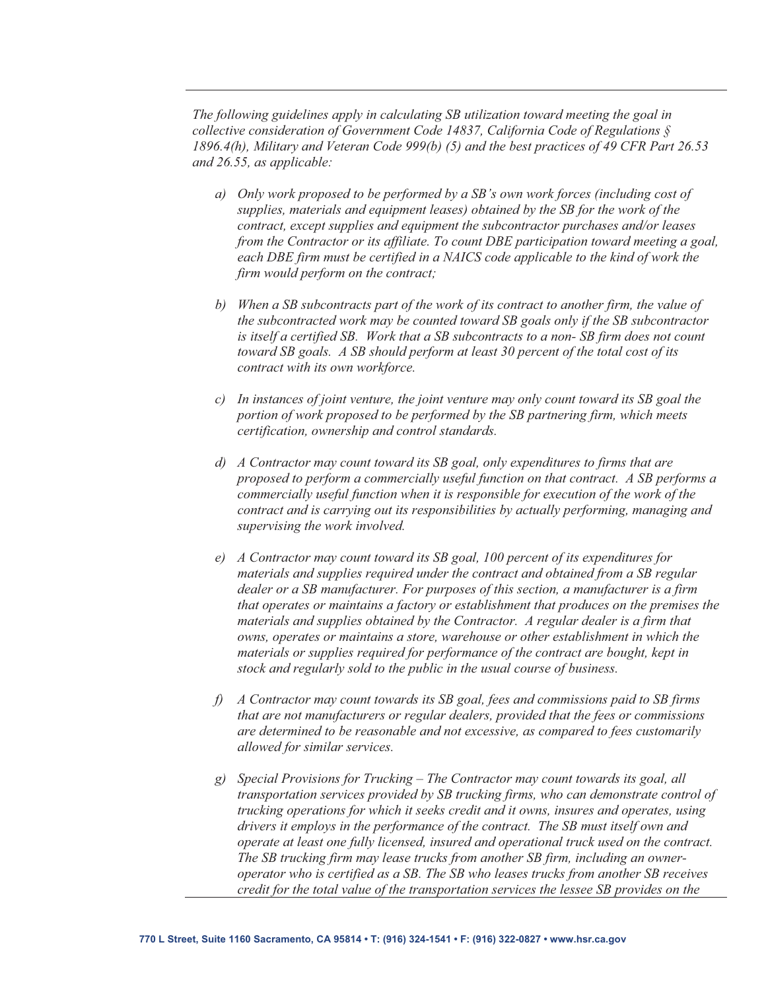*The following guidelines apply in calculating SB utilization toward meeting the goal in collective consideration of Government Code 14837, California Code of Regulations § 1896.4(h), Military and Veteran Code 999(b) (5) and the best practices of 49 CFR Part 26.53 and 26.55, as applicable:* 

- *a) Only work proposed to be performed by a SB's own work forces (including cost of supplies, materials and equipment leases) obtained by the SB for the work of the contract, except supplies and equipment the subcontractor purchases and/or leases from the Contractor or its affiliate. To count DBE participation toward meeting a goal, each DBE firm must be certified in a NAICS code applicable to the kind of work the firm would perform on the contract;*
- *b) When a SB subcontracts part of the work of its contract to another firm, the value of the subcontracted work may be counted toward SB goals only if the SB subcontractor is itself a certified SB. Work that a SB subcontracts to a non- SB firm does not count toward SB goals. A SB should perform at least 30 percent of the total cost of its contract with its own workforce.*
- *c) In instances of joint venture, the joint venture may only count toward its SB goal the portion of work proposed to be performed by the SB partnering firm, which meets certification, ownership and control standards.*
- *d) A Contractor may count toward its SB goal, only expenditures to firms that are proposed to perform a commercially useful function on that contract. A SB performs a commercially useful function when it is responsible for execution of the work of the contract and is carrying out its responsibilities by actually performing, managing and supervising the work involved.*
- *e) A Contractor may count toward its SB goal, 100 percent of its expenditures for materials and supplies required under the contract and obtained from a SB regular dealer or a SB manufacturer. For purposes of this section, a manufacturer is a firm that operates or maintains a factory or establishment that produces on the premises the materials and supplies obtained by the Contractor. A regular dealer is a firm that owns, operates or maintains a store, warehouse or other establishment in which the materials or supplies required for performance of the contract are bought, kept in stock and regularly sold to the public in the usual course of business.*
- *f) A Contractor may count towards its SB goal, fees and commissions paid to SB firms that are not manufacturers or regular dealers, provided that the fees or commissions are determined to be reasonable and not excessive, as compared to fees customarily allowed for similar services.*
- *g) Special Provisions for Trucking The Contractor may count towards its goal, all transportation services provided by SB trucking firms, who can demonstrate control of trucking operations for which it seeks credit and it owns, insures and operates, using drivers it employs in the performance of the contract. The SB must itself own and operate at least one fully licensed, insured and operational truck used on the contract. The SB trucking firm may lease trucks from another SB firm, including an owneroperator who is certified as a SB. The SB who leases trucks from another SB receives credit for the total value of the transportation services the lessee SB provides on the*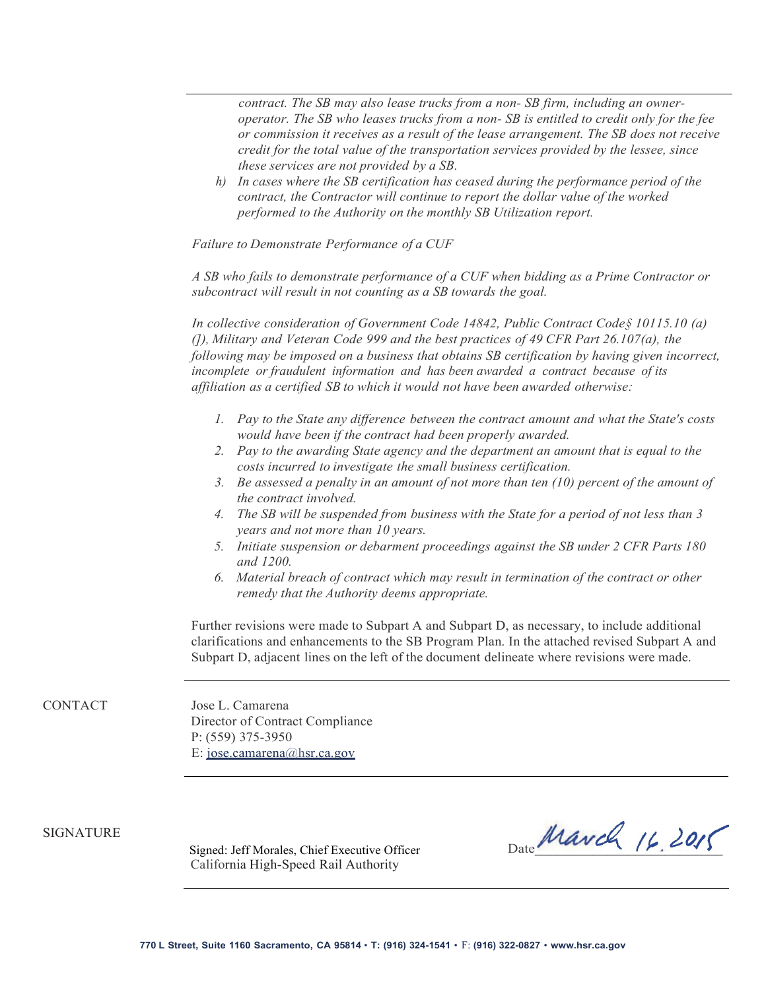*contract. The SB may also lease trucks from a non- SB firm, including an owneroperator. The SB who leases trucks from a non- SB is entitled to credit only for the fee or commission it receives as a result of the lease arrangement. The SB does not receive credit for the total value of the transportation services provided by the lessee, since these services are not provided by a SB.*

*h) In cases where the SB certification has ceased during the performance period of the contract, the Contractor will continue to report the dollar value of the worked performed to the Authority on the monthly SB Utilization report.*

*Failure to Demonstrate Performance of a CUF*

*A SB who fails to demonstrate performance of a CUF when bidding as a Prime Contractor or subcontract will result in not counting as a SB towards the goal.*

*In collective consideration of Government Code 14842, Public Contract Code§ 10115.10 (a) (]), Military and Veteran Code 999 and the best practices of 49 CFR Part 26.107(a), the following may be imposed on a business that obtains SB certification by having given incorrect, incomplete or fraudulent information and has been awarded a contract because of its affiliation as a certified SB to which it would not have been awarded otherwise:*

- *1. Pay to the State any difference between the contract amount and what the State's costs would have been if the contract had been properly awarded.*
- *2. Pay to the awarding State agency and the department an amount that is equal to the costs incurred to investigate the small business certification.*
- *3. Be assessed a penalty in an amount of not more than ten (10) percent of the amount of the contract involved.*
- *4. The SB will be suspended from business with the State for a period of not less than 3 years and not more than 10 years.*
- *5. Initiate suspension or debarment proceedings against the SB under 2 CFR Parts 180 and 1200.*
- *6. Material breach of contract which may result in termination of the contract or other remedy that the Authority deems appropriate.*

Further revisions were made to Subpart A and Subpart D, as necessary, to include additional clarifications and enhancements to the SB Program Plan. In the attached revised Subpart A and Subpart D, adjacent lines on the left of the document delineate where revisions were made.

CONTACT Jose L. Camarena Director of Contract Compliance P: (559) 375-3950 E: [jose.camarena@hsr.ca.gov](mailto:jose.camarena@hsr.ca.gov)

SIGNATURE

 Signed: Jeff Morales, Chief Executive Officer California High-Speed Rail Authority

 $D_{\text{late}}$ March 16, 2015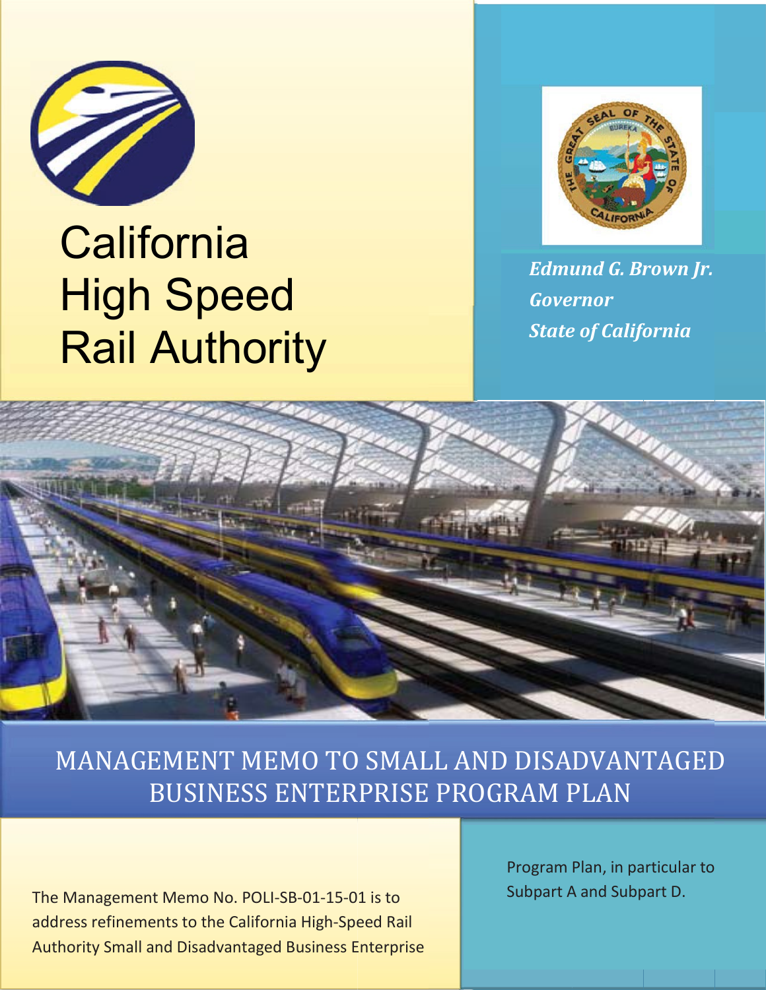

# **California** High Speed Rail Authority



*u t i State of California Edmund G. Brown Jr. Governor* 



MANAGEMENT MEMO TO SMALL AND DISADVANTAGED BUSINESS ENTERPRISE PROGRAM PLAN

The Management Memo No. POLI-SB-01-15-01 is to Authority Small and Disadvantaged Business Enterprise address refinements to the California High-Speed Rail

Program Plan, in particular to Subpart A and Subpart D.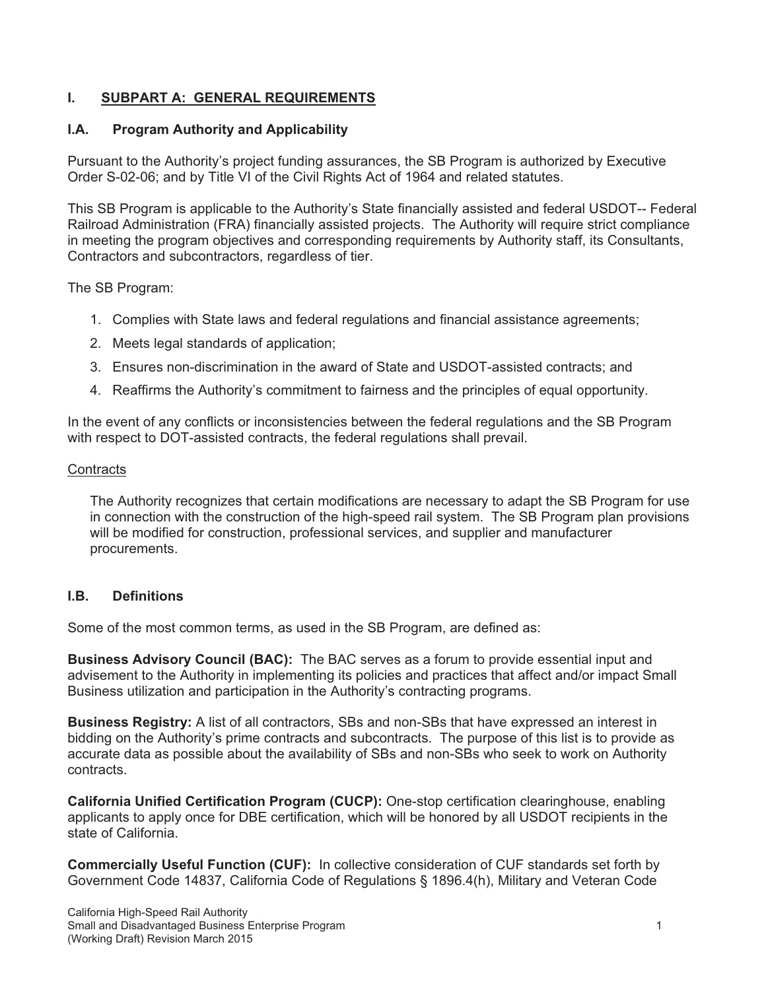## **I. SUBPART A: GENERAL REQUIREMENTS**

#### $LA.$ **I.A. Program Authority and Applicability**

Pursuant to the Authority's project funding assurances, the SB Program is authorized by Executive Order S-02-06; and by Title VI of the Civil Rights Act of 1964 and related statutes.

This SB Program is applicable to the Authority's State financially assisted and federal USDOT-- Federal Railroad Administration (FRA) financially assisted projects. The Authority will require strict compliance in meeting the program objectives and corresponding requirements by Authority staff, its Consultants, Contractors and subcontractors, regardless of tier.

The SB Program:

- 1. Complies with State laws and federal regulations and financial assistance agreements;
- 2. Meets legal standards of application;
- 3. Ensures non-discrimination in the award of State and USDOT-assisted contracts; and
- 4. Reaffirms the Authority's commitment to fairness and the principles of equal opportunity.

In the event of any conflicts or inconsistencies between the federal regulations and the SB Program with respect to DOT-assisted contracts, the federal regulations shall prevail.

#### **Contracts**

The Authority recognizes that certain modifications are necessary to adapt the SB Program for use in connection with the construction of the high-speed rail system. The SB Program plan provisions will be modified for construction, professional services, and supplier and manufacturer procurements.

#### $LR$ **Definitions I.B. Definitions**

Some of the most common terms, as used in the SB Program, are defined as:

**Business Advisory Council (BAC):** The BAC serves as a forum to provide essential input and advisement to the Authority in implementing its policies and practices that affect and/or impact Small Business utilization and participation in the Authority's contracting programs.

**Business Registry:** A list of all contractors, SBs and non-SBs that have expressed an interest in bidding on the Authority's prime contracts and subcontracts. The purpose of this list is to provide as accurate data as possible about the availability of SBs and non-SBs who seek to work on Authority contracts.

**California Unified Certification Program (CUCP):** One-stop certification clearinghouse, enabling applicants to apply once for DBE certification, which will be honored by all USDOT recipients in the state of California.

**Commercially Useful Function (CUF):** In collective consideration of CUF standards set forth by Government Code 14837, California Code of Regulations § 1896.4(h), Military and Veteran Code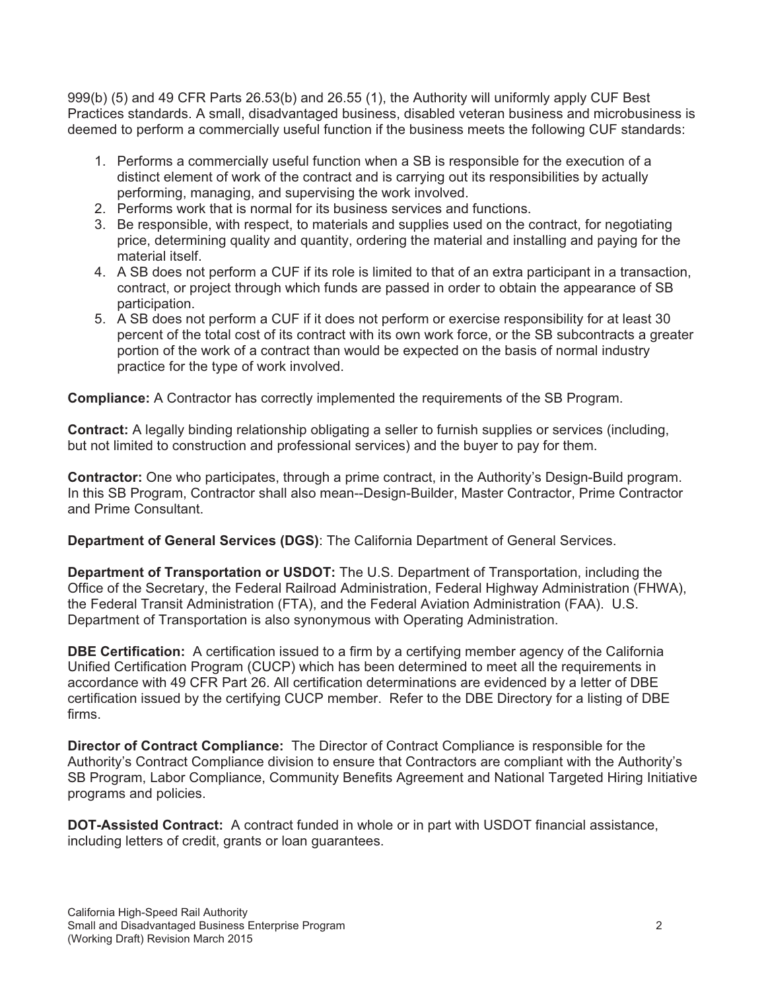999(b) (5) and 49 CFR Parts 26.53(b) and 26.55 (1), the Authority will uniformly apply CUF Best Practices standards. A small, disadvantaged business, disabled veteran business and microbusiness is deemed to perform a commercially useful function if the business meets the following CUF standards:

- 1. Performs a commercially useful function when a SB is responsible for the execution of a distinct element of work of the contract and is carrying out its responsibilities by actually performing, managing, and supervising the work involved.
- 2. Performs work that is normal for its business services and functions.
- 3. Be responsible, with respect, to materials and supplies used on the contract, for negotiating price, determining quality and quantity, ordering the material and installing and paying for the material itself.
- 4. A SB does not perform a CUF if its role is limited to that of an extra participant in a transaction, contract, or project through which funds are passed in order to obtain the appearance of SB participation.
- 5. A SB does not perform a CUF if it does not perform or exercise responsibility for at least 30 percent of the total cost of its contract with its own work force, or the SB subcontracts a greater portion of the work of a contract than would be expected on the basis of normal industry practice for the type of work involved.

**Compliance:** A Contractor has correctly implemented the requirements of the SB Program.

**Contract:** A legally binding relationship obligating a seller to furnish supplies or services (including, but not limited to construction and professional services) and the buyer to pay for them.

**Contractor:** One who participates, through a prime contract, in the Authority's Design-Build program. In this SB Program, Contractor shall also mean--Design-Builder, Master Contractor, Prime Contractor and Prime Consultant.

**Department of General Services (DGS)**: The California Department of General Services.

**Department of Transportation or USDOT:** The U.S. Department of Transportation, including the Office of the Secretary, the Federal Railroad Administration, Federal Highway Administration (FHWA), the Federal Transit Administration (FTA), and the Federal Aviation Administration (FAA). U.S. Department of Transportation is also synonymous with Operating Administration.

**DBE Certification:** A certification issued to a firm by a certifying member agency of the California Unified Certification Program (CUCP) which has been determined to meet all the requirements in accordance with 49 CFR Part 26. All certification determinations are evidenced by a letter of DBE certification issued by the certifying CUCP member. Refer to the DBE Directory for a listing of DBE firms.

**Director of Contract Compliance:** The Director of Contract Compliance is responsible for the Authority's Contract Compliance division to ensure that Contractors are compliant with the Authority's SB Program, Labor Compliance, Community Benefits Agreement and National Targeted Hiring Initiative programs and policies.

**DOT-Assisted Contract:** A contract funded in whole or in part with USDOT financial assistance, including letters of credit, grants or loan guarantees.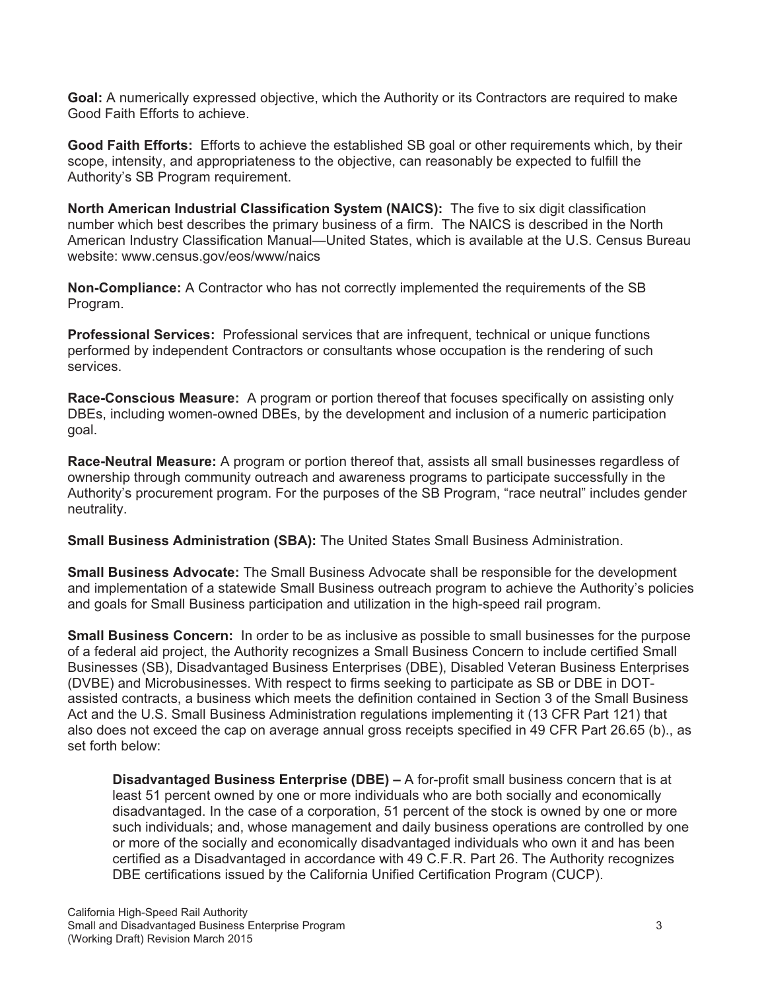**Goal:** A numerically expressed objective, which the Authority or its Contractors are required to make Good Faith Efforts to achieve.

**Good Faith Efforts:** Efforts to achieve the established SB goal or other requirements which, by their scope, intensity, and appropriateness to the objective, can reasonably be expected to fulfill the Authority's SB Program requirement.

**North American Industrial Classification System (NAICS):** The five to six digit classification number which best describes the primary business of a firm. The NAICS is described in the North American Industry Classification Manual—United States, which is available at the U.S. Census Bureau website: [www.census.gov/eos/www/naics](http://www.hsr.ca.gov/)

**Non-Compliance:** A Contractor who has not correctly implemented the requirements of the SB Program.

**Professional Services:** Professional services that are infrequent, technical or unique functions performed by independent Contractors or consultants whose occupation is the rendering of such services.

**Race-Conscious Measure:** A program or portion thereof that focuses specifically on assisting only DBEs, including women-owned DBEs, by the development and inclusion of a numeric participation goal.

**Race-Neutral Measure:** A program or portion thereof that, assists all small businesses regardless of ownership through community outreach and awareness programs to participate successfully in the Authority's procurement program. For the purposes of the SB Program, "race neutral" includes gender neutrality.

**Small Business Administration (SBA):** The United States Small Business Administration.

**Small Business Advocate:** The Small Business Advocate shall be responsible for the development and implementation of a statewide Small Business outreach program to achieve the Authority's policies and goals for Small Business participation and utilization in the high-speed rail program.

**Small Business Concern:** In order to be as inclusive as possible to small businesses for the purpose of a federal aid project, the Authority recognizes a Small Business Concern to include certified Small Businesses (SB), Disadvantaged Business Enterprises (DBE), Disabled Veteran Business Enterprises (DVBE) and Microbusinesses. With respect to firms seeking to participate as SB or DBE in DOTassisted contracts, a business which meets the definition contained in Section 3 of the Small Business Act and the U.S. Small Business Administration regulations implementing it (13 CFR Part 121) that also does not exceed the cap on average annual gross receipts specified in 49 CFR Part 26.65 (b)., as set forth below:

**Disadvantaged Business Enterprise (DBE) –** A for-profit small business concern that is at least 51 percent owned by one or more individuals who are both socially and economically disadvantaged. In the case of a corporation, 51 percent of the stock is owned by one or more such individuals; and, whose management and daily business operations are controlled by one or more of the socially and economically disadvantaged individuals who own it and has been certified as a Disadvantaged in accordance with 49 C.F.R. Part 26. The Authority recognizes DBE certifications issued by the California Unified Certification Program (CUCP).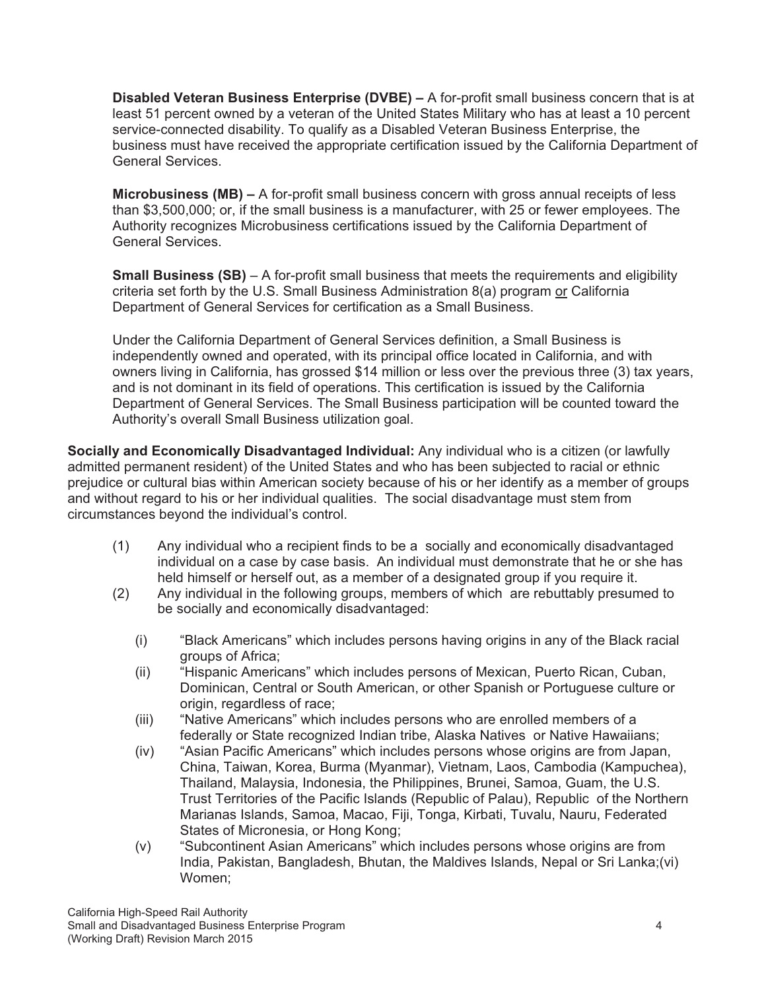**Disabled Veteran Business Enterprise (DVBE) –** A for-profit small business concern that is at least 51 percent owned by a veteran of the United States Military who has at least a 10 percent service-connected disability. To qualify as a Disabled Veteran Business Enterprise, the business must have received the appropriate certification issued by the California Department of General Services.

**Microbusiness (MB) –** A for-profit small business concern with gross annual receipts of less than \$3,500,000; or, if the small business is a manufacturer, with 25 or fewer employees. The Authority recognizes Microbusiness certifications issued by the California Department of General Services.

**Small Business (SB)** – A for-profit small business that meets the requirements and eligibility criteria set forth by the U.S. Small Business Administration 8(a) program or California Department of General Services for certification as a Small Business.

Under the California Department of General Services definition, a Small Business is independently owned and operated, with its principal office located in California, and with owners living in California, has grossed \$14 million or less over the previous three (3) tax years, and is not dominant in its field of operations. This certification is issued by the California Department of General Services. The Small Business participation will be counted toward the Authority's overall Small Business utilization goal.

circumstances beyond the individual's control. **Socially and Economically Disadvantaged Individual:** Any individual who is a citizen (or lawfully admitted permanent resident) of the United States and who has been subjected to racial or ethnic prejudice or cultural bias within American society because of his or her identify as a member of groups and without regard to his or her individual qualities. The social disadvantage must stem from

- $(1)$  Any individual who a recipient finds to be a socially and economically disadvantaged individual on a case by case basis. An individual must demonstrate that he or she has held himself or herself out, as a member of a designated group if you require it.
- (2) Any individual in the following groups, members of which are rebuttably presumed to be socially and economically disadvantaged:
	- (i) "Black Americans" which includes persons having origins in any of the Black racial groups of Africa;
	- (ii) "Hispanic Americans" which includes persons of Mexican, Puerto Rican, Cuban, Dominican, Central or South American, or other Spanish or Portuguese culture or origin, regardless of race;
	- (iii) "Native Americans" which includes persons who are enrolled members of a federally or State recognized Indian tribe, Alaska Natives or Native Hawaiians;
	- (iv) "Asian Pacific Americans" which includes persons whose origins are from Japan, China, Taiwan, Korea, Burma (Myanmar), Vietnam, Laos, Cambodia (Kampuchea), Thailand, Malaysia, Indonesia, the Philippines, Brunei, Samoa, Guam, the U.S. Trust Territories of the Pacific Islands (Republic of Palau), Republic of the Northern Marianas Islands, Samoa, Macao, Fiji, Tonga, Kirbati, Tuvalu, Nauru, Federated States of Micronesia, or Hong Kong;
	- (v) "Subcontinent Asian Americans" which includes persons whose origins are from India, Pakistan, Bangladesh, Bhutan, the Maldives Islands, Nepal or Sri Lanka;(vi) Women;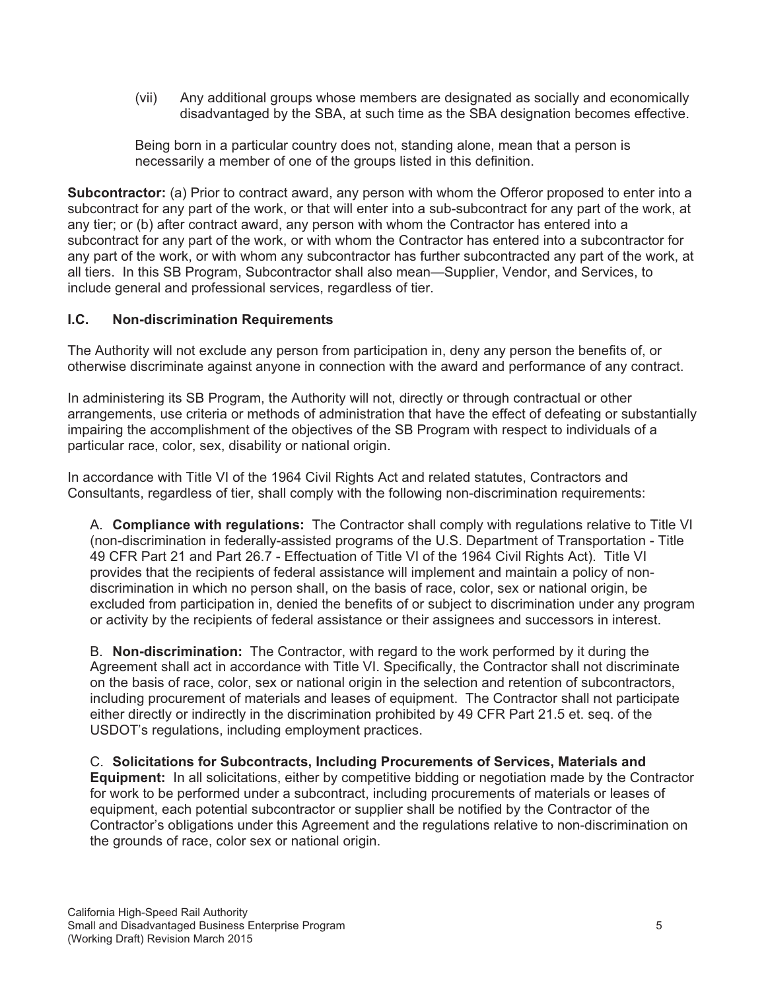(vii) Any additional groups whose members are designated as socially and economically disadvantaged by the SBA, at such time as the SBA designation becomes effective.

Being born in a particular country does not, standing alone, mean that a person is necessarily a member of one of the groups listed in this definition.

**Subcontractor:** (a) Prior to contract award, any person with whom the Offeror proposed to enter into a subcontract for any part of the work, or that will enter into a sub-subcontract for any part of the work, at any tier; or (b) after contract award, any person with whom the Contractor has entered into a subcontract for any part of the work, or with whom the Contractor has entered into a subcontractor for any part of the work, or with whom any subcontractor has further subcontracted any part of the work, at all tiers. In this SB Program, Subcontractor shall also mean—Supplier, Vendor, and Services, to include general and professional services, regardless of tier.

#### $l.C.$ **I.C. Non-discrimination Requirements**

The Authority will not exclude any person from participation in, deny any person the benefits of, or otherwise discriminate against anyone in connection with the award and performance of any contract.

In administering its SB Program, the Authority will not, directly or through contractual or other arrangements, use criteria or methods of administration that have the effect of defeating or substantially impairing the accomplishment of the objectives of the SB Program with respect to individuals of a particular race, color, sex, disability or national origin.

In accordance with Title VI of the 1964 Civil Rights Act and related statutes, Contractors and Consultants, regardless of tier, shall comply with the following non-discrimination requirements:

A. **Compliance with regulations:** The Contractor shall comply with regulations relative to Title VI (non-discrimination in federally-assisted programs of the U.S. Department of Transportation - Title 49 CFR Part 21 and Part 26.7 - Effectuation of Title VI of the 1964 Civil Rights Act). Title VI provides that the recipients of federal assistance will implement and maintain a policy of nondiscrimination in which no person shall, on the basis of race, color, sex or national origin, be excluded from participation in, denied the benefits of or subject to discrimination under any program or activity by the recipients of federal assistance or their assignees and successors in interest.

B. **Non-discrimination:** The Contractor, with regard to the work performed by it during the Agreement shall act in accordance with Title VI. Specifically, the Contractor shall not discriminate on the basis of race, color, sex or national origin in the selection and retention of subcontractors, including procurement of materials and leases of equipment. The Contractor shall not participate either directly or indirectly in the discrimination prohibited by 49 CFR Part 21.5 et. seq. of the USDOT's regulations, including employment practices.

C. **Solicitations for Subcontracts, Including Procurements of Services, Materials and Equipment:** In all solicitations, either by competitive bidding or negotiation made by the Contractor for work to be performed under a subcontract, including procurements of materials or leases of equipment, each potential subcontractor or supplier shall be notified by the Contractor of the Contractor's obligations under this Agreement and the regulations relative to non-discrimination on the grounds of race, color sex or national origin.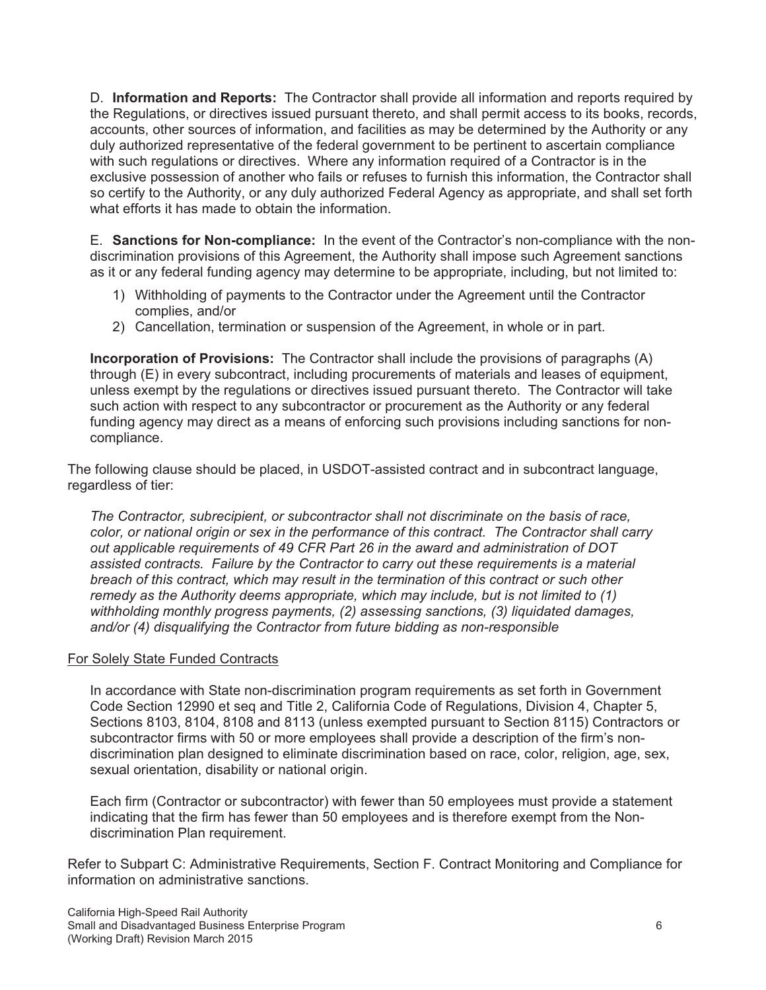D. **Information and Reports:** The Contractor shall provide all information and reports required by the Regulations, or directives issued pursuant thereto, and shall permit access to its books, records, accounts, other sources of information, and facilities as may be determined by the Authority or any duly authorized representative of the federal government to be pertinent to ascertain compliance with such regulations or directives. Where any information required of a Contractor is in the exclusive possession of another who fails or refuses to furnish this information, the Contractor shall so certify to the Authority, or any duly authorized Federal Agency as appropriate, and shall set forth what efforts it has made to obtain the information.

E. **Sanctions for Non-compliance:** In the event of the Contractor's non-compliance with the nondiscrimination provisions of this Agreement, the Authority shall impose such Agreement sanctions as it or any federal funding agency may determine to be appropriate, including, but not limited to:

- 1) Withholding of payments to the Contractor under the Agreement until the Contractor complies, and/or
- 2) Cancellation, termination or suspension of the Agreement, in whole or in part.

**Incorporation of Provisions:** The Contractor shall include the provisions of paragraphs (A) through (E) in every subcontract, including procurements of materials and leases of equipment, unless exempt by the regulations or directives issued pursuant thereto. The Contractor will take such action with respect to any subcontractor or procurement as the Authority or any federal funding agency may direct as a means of enforcing such provisions including sanctions for noncompliance.

The following clause should be placed, in USDOT-assisted contract and in subcontract language, regardless of tier:

*The Contractor, subrecipient, or subcontractor shall not discriminate on the basis of race, color, or national origin or sex in the performance of this contract. The Contractor shall carry out applicable requirements of 49 CFR Part 26 in the award and administration of DOT assisted contracts. Failure by the Contractor to carry out these requirements is a material breach of this contract, which may result in the termination of this contract or such other remedy as the Authority deems appropriate, which may include, but is not limited to (1) withholding monthly progress payments, (2) assessing sanctions, (3) liquidated damages, and/or (4) disqualifying the Contractor from future bidding as non-responsible* 

#### For Solely State Funded Contracts

In accordance with State non-discrimination program requirements as set forth in Government Code Section 12990 et seq and Title 2, California Code of Regulations, Division 4, Chapter 5, Sections 8103, 8104, 8108 and 8113 (unless exempted pursuant to Section 8115) Contractors or subcontractor firms with 50 or more employees shall provide a description of the firm's nondiscrimination plan designed to eliminate discrimination based on race, color, religion, age, sex, sexual orientation, disability or national origin.

Each firm (Contractor or subcontractor) with fewer than 50 employees must provide a statement indicating that the firm has fewer than 50 employees and is therefore exempt from the Nondiscrimination Plan requirement.

Refer to Subpart C: Administrative Requirements, Section F. Contract Monitoring and Compliance for information on administrative sanctions.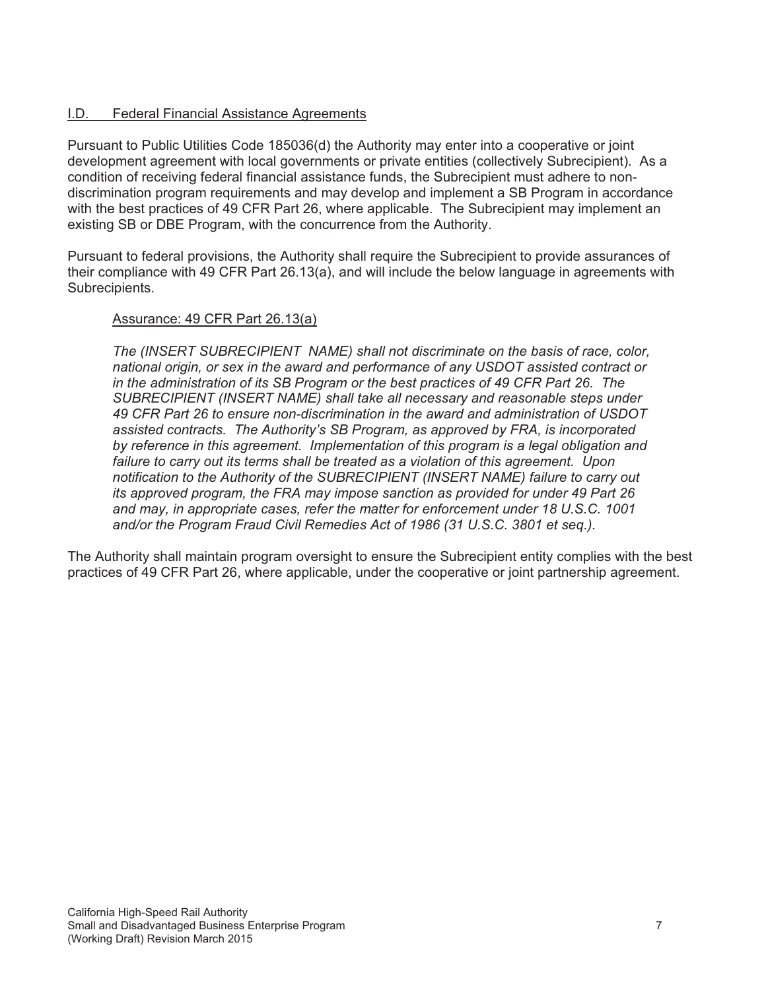#### I.D. Federal Financial Assistance Agreements

 with the best practices of 49 CFR Part 26, where applicable. The Subrecipient may implement an Pursuant to Public Utilities Code 185036(d) the Authority may enter into a cooperative or joint development agreement with local governments or private entities (collectively Subrecipient). As a condition of receiving federal financial assistance funds, the Subrecipient must adhere to nondiscrimination program requirements and may develop and implement a SB Program in accordance existing SB or DBE Program, with the concurrence from the Authority.

Pursuant to federal provisions, the Authority shall require the Subrecipient to provide assurances of their compliance with 49 CFR Part 26.13(a), and will include the below language in agreements with Subrecipients.

#### Assurance: 49 CFR Part 26.13(a)

*The (INSERT SUBRECIPIENT NAME) shall not discriminate on the basis of race, color, national origin, or sex in the award and performance of any USDOT assisted contract or in the administration of its SB Program or the best practices of 49 CFR Part 26. The SUBRECIPIENT (INSERT NAME) shall take all necessary and reasonable steps under 49 CFR Part 26 to ensure non-discrimination in the award and administration of USDOT assisted contracts. The Authority's SB Program, as approved by FRA, is incorporated by reference in this agreement. Implementation of this program is a legal obligation and*  failure to carry out its terms shall be treated as a violation of this agreement. Upon *notification to the Authority of the SUBRECIPIENT (INSERT NAME) failure to carry out its approved program, the FRA may impose sanction as provided for under 49 Part 26 and may, in appropriate cases, refer the matter for enforcement under 18 U.S.C. 1001 and/or the Program Fraud Civil Remedies Act of 1986 (31 U.S.C. 3801 et seq.).* 

The Authority shall maintain program oversight to ensure the Subrecipient entity complies with the best practices of 49 CFR Part 26, where applicable, under the cooperative or joint partnership agreement.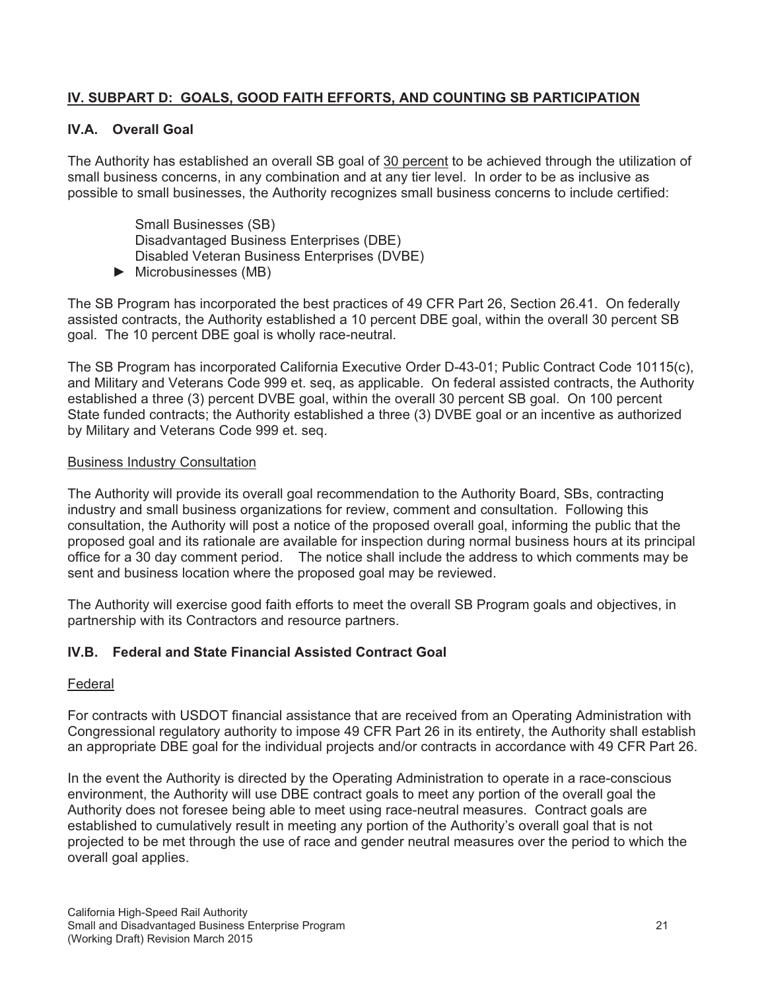## **IV. SUBPART D: GOOD FAITH EFFORTS, AND COUNTING SB PARTICIPATION**

### **IV.A.** Overall Goal

The Authority has established an overall SB goal of 30 percent to be achieved through the utilization of small business concerns, in any combination and at any tier level. In order to be as inclusive as possible to small businesses, the Authority recognizes small business concerns to include certified:

Small Businesses (SB) Disadvantaged Business Enterprises (DBE) Disabled Veteran Business Enterprises (DVBE)

 $\blacktriangleright$  Microbusinesses (MB)

The SB Program has incorporated the best practices of 49 CFR Part 26, Section 26.41. On federally assisted contracts, the Authority established a 10 percent DBE goal, within the overall 30 percent SB goal. The 10 percent DBE goal is wholly race-neutral.

The SB Program has incorporated California Executive Order D-43-01; Public Contract Code 10115(c), and Military and Veterans Code 999 et. seq, as applicable. On federal assisted contracts, the Authority established a three (3) percent DVBE goal, within the overall 30 percent SB goal. On 100 percent State funded contracts; the Authority established a three (3) DVBE goal or an incentive as authorized by Military and Veterans Code 999 et. seq.

#### Business Industry Consultation

The Authority will provide its overall goal recommendation to the Authority Board, SBs, contracting industry and small business organizations for review, comment and consultation. Following this consultation, the Authority will post a notice of the proposed overall goal, informing the public that the proposed goal and its rationale are available for inspection during normal business hours at its principal office for a 30 day comment period. The notice shall include the address to which comments may be sent and business location where the proposed goal may be reviewed.

The Authority will exercise good faith efforts to meet the overall SB Program goals and objectives, in partnership with its Contractors and resource partners.

#### Federal

For contracts with USDOT financial assistance that are received from an Operating Administration with Congressional regulatory authority to impose 49 CFR Part 26 in its entirety, the Authority shall establish an appropriate DBE goal for the individual projects and/or contracts in accordance with 49 CFR Part 26.

In the event the Authority is directed by the Operating Administration to operate in a race-conscious environment, the Authority will use DBE contract goals to meet any portion of the overall goal the Authority does not foresee being able to meet using race-neutral measures. Contract goals are established to cumulatively result in meeting any portion of the Authority's overall goal that is not projected to be met through the use of race and gender neutral measures over the period to which the overall goal applies.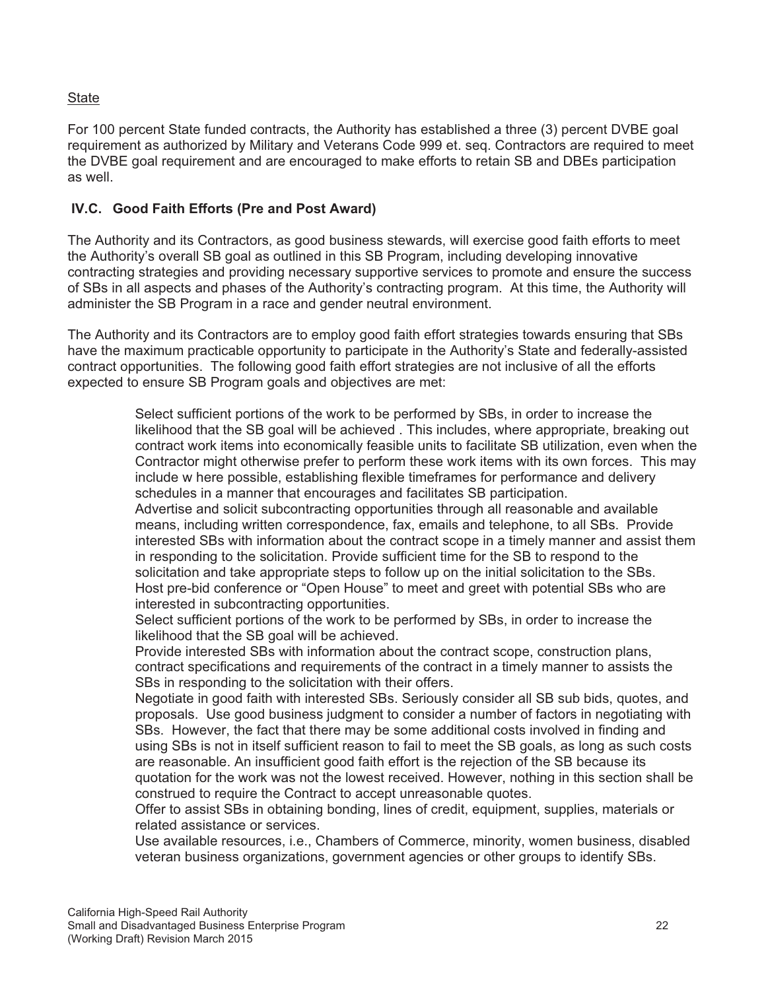#### **State**

For 100 percent State funded contracts, the Authority has established a three (3) percent DVBE goal requirement as authorized by Military and Veterans Code 999 et. seq. Contractors are required to meet the DVBE goal requirement and are encouraged to make efforts to retain SB and DBEs participation as well.

## **IV.C. Good Faith Efforts (Pre and Post Award)**

The Authority and its Contractors, as good business stewards, will exercise good faith efforts to meet the Authority's overall SB goal as outlined in this SB Program, including developing innovative contracting strategies and providing necessary supportive services to promote and ensure the success of SBs in all aspects and phases of the Authority's contracting program. At this time, the Authority will administer the SB Program in a race and gender neutral environment.

The Authority and its Contractors are to employ good faith effort strategies towards ensuring that SBs have the maximum practicable opportunity to participate in the Authority's State and federally-assisted contract opportunities. The following good faith effort strategies are not inclusive of all the efforts expected to ensure SB Program goals and objectives are met:

Select sufficient portions of the work to be performed by SBs, in order to increase the likelihood that the SB goal will be achieved . This includes, where appropriate, breaking out contract work items into economically feasible units to facilitate SB utilization, even when the Contractor might otherwise prefer to perform these work items with its own forces. This may include w here possible, establishing flexible timeframes for performance and delivery schedules in a manner that encourages and facilitates SB participation. Advertise and solicit subcontracting opportunities through all reasonable and available means, including written correspondence, fax, emails and telephone, to all SBs. Provide interested SBs with information about the contract scope in a timely manner and assist them in responding to the solicitation. Provide sufficient time for the SB to respond to the solicitation and take appropriate steps to follow up on the initial solicitation to the SBs. Host pre-bid conference or "Open House" to meet and greet with potential SBs who are interested in subcontracting opportunities. Select sufficient portions of the work to be performed by SBs, in order to increase the likelihood that the SB goal will be achieved. Provide interested SBs with information about the contract scope, construction plans, contract specifications and requirements of the contract in a timely manner to assists the SBs in responding to the solicitation with their offers. Negotiate in good faith with interested SBs. Seriously consider all SB sub bids, quotes, and proposals. Use good business judgment to consider a number of factors in negotiating with SBs. However, the fact that there may be some additional costs involved in finding and using SBs is not in itself sufficient reason to fail to meet the SB goals, as long as such costs are reasonable. An insufficient good faith effort is the rejection of the SB because its quotation for the work was not the lowest received. However, nothing in this section shall be construed to require the Contract to accept unreasonable quotes. Offer to assist SBs in obtaining bonding, lines of credit, equipment, supplies, materials or related assistance or services. Use available resources, i.e., Chambers of Commerce, minority, women business, disabled veteran business organizations, government agencies or other groups to identify SBs.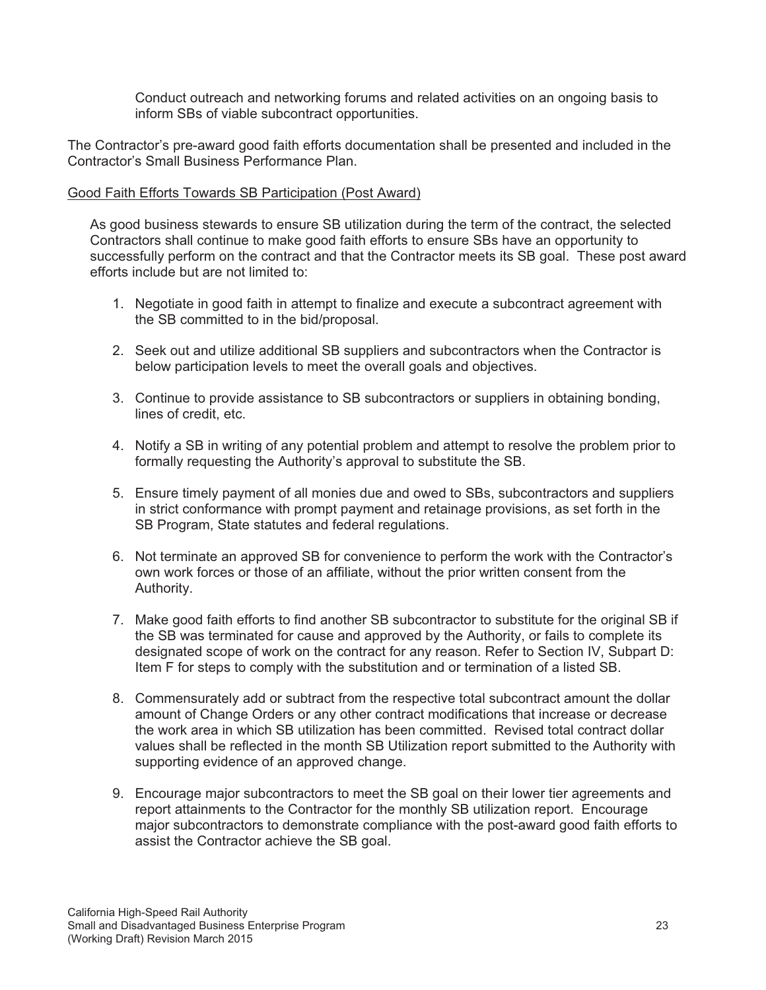Conduct outreach and networking forums and related activities on an ongoing basis to inform SBs of viable subcontract opportunities.

The Contractor's pre-award good faith efforts documentation shall be presented and included in the Contractor's Small Business Performance Plan.

#### Good Faith Efforts Towards SB Participation (Post Award)

As good business stewards to ensure SB utilization during the term of the contract, the selected Contractors shall continue to make good faith efforts to ensure SBs have an opportunity to successfully perform on the contract and that the Contractor meets its SB goal. These post award efforts include but are not limited to:

- 1. Negotiate in good faith in attempt to finalize and execute a subcontract agreement with the SB committed to in the bid/proposal.
- 2. Seek out and utilize additional SB suppliers and subcontractors when the Contractor is below participation levels to meet the overall goals and objectives.
- 3. Continue to provide assistance to SB subcontractors or suppliers in obtaining bonding, lines of credit, etc.
- 4. Notify a SB in writing of any potential problem and attempt to resolve the problem prior to formally requesting the Authority's approval to substitute the SB.
- 5. Ensure timely payment of all monies due and owed to SBs, subcontractors and suppliers in strict conformance with prompt payment and retainage provisions, as set forth in the SB Program, State statutes and federal regulations.
- 6. Not terminate an approved SB for convenience to perform the work with the Contractor's own work forces or those of an affiliate, without the prior written consent from the Authority.
- 7. Make good faith efforts to find another SB subcontractor to substitute for the original SB if the SB was terminated for cause and approved by the Authority, or fails to complete its designated scope of work on the contract for any reason. Refer to Section IV, Subpart D: Item F for steps to comply with the substitution and or termination of a listed SB.
- 8. Commensurately add or subtract from the respective total subcontract amount the dollar amount of Change Orders or any other contract modifications that increase or decrease the work area in which SB utilization has been committed. Revised total contract dollar values shall be reflected in the month SB Utilization report submitted to the Authority with supporting evidence of an approved change.
- 9. Encourage major subcontractors to meet the SB goal on their lower tier agreements and report attainments to the Contractor for the monthly SB utilization report. Encourage major subcontractors to demonstrate compliance with the post-award good faith efforts to assist the Contractor achieve the SB goal.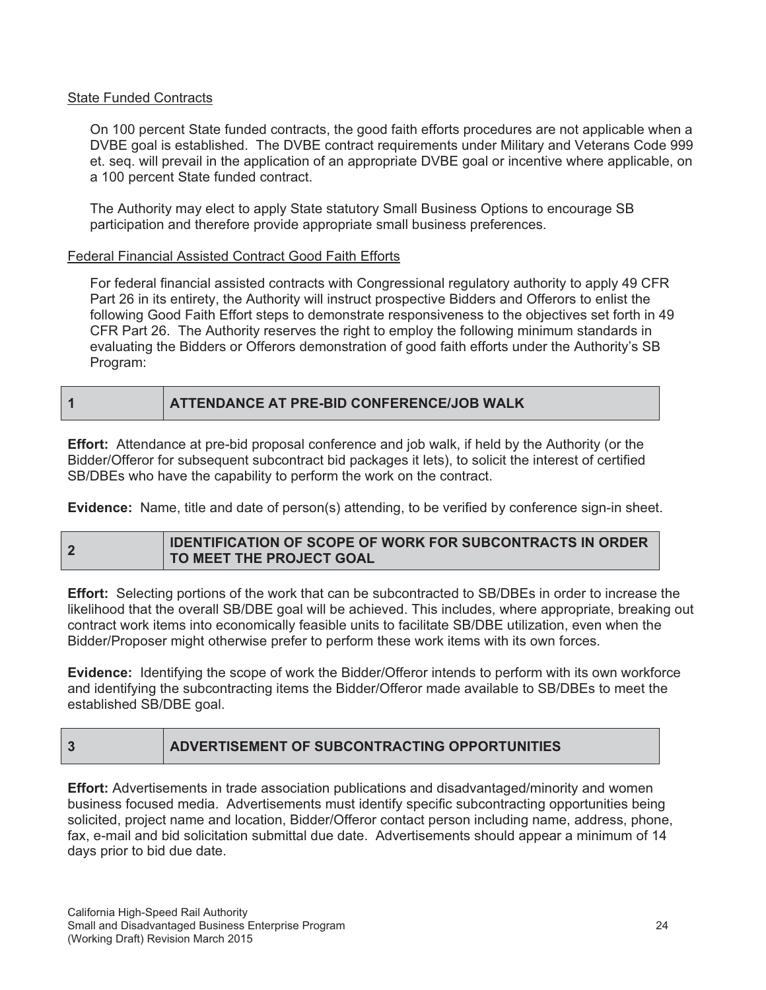#### State Funded Contracts

 $\overline{1}$ 

 $\overline{3}$ 

On 100 percent State funded contracts, the good faith efforts procedures are not applicable when a DVBE goal is established. The DVBE contract requirements under Military and Veterans Code 999 et. seq. will prevail in the application of an appropriate DVBE goal or incentive where applicable, on a 100 percent State funded contract.

The Authority may elect to apply State statutory Small Business Options to encourage SB participation and therefore provide appropriate small business preferences.

#### Federal Financial Assisted Contract Good Faith Efforts

For federal financial assisted contracts with Congressional regulatory authority to apply 49 CFR Part 26 in its entirety, the Authority will instruct prospective Bidders and Offerors to enlist the following Good Faith Effort steps to demonstrate responsiveness to the objectives set forth in 49 CFR Part 26. The Authority reserves the right to employ the following minimum standards in evaluating the Bidders or Offerors demonstration of good faith efforts under the Authority's SB Program:

#### ATTENDANCE AT PRE-BID CONFERENCE/JOB WALK **1 ATTENDANCE AT PRE-BID CONFERENCE/JOB WALK**

**Effort:** Attendance at pre-bid proposal conference and job walk, if held by the Authority (or the Bidder/Offeror for subsequent subcontract bid packages it lets), to solicit the interest of certified SB/DBEs who have the capability to perform the work on the contract.

**Evidence:** Name, title and date of person(s) attending, to be verified by conference sign-in sheet.

#### **IDENTIFICATION OF SCOPE OF WORK FOR SUBCONTRACTS IN ORDER 2 IDENTIFICATION OF SCOPE OF ITO MEET THE PROJECT GOAL TO MEET THE PROJECT GOAL**

**Effort:** Selecting portions of the work that can be subcontracted to SB/DBEs in order to increase the likelihood that the overall SB/DBE goal will be achieved. This includes, where appropriate, breaking out contract work items into economically feasible units to facilitate SB/DBE utilization, even when the Bidder/Proposer might otherwise prefer to perform these work items with its own forces.

**Evidence:** Identifying the scope of work the Bidder/Offeror intends to perform with its own workforce and identifying the subcontracting items the Bidder/Offeror made available to SB/DBEs to meet the established SB/DBE goal.

#### ADVERTISEMENT OF SUBCONTRACTING OPPORTUNITIES **3 ADVERTISEMENT OF SUBCONTRACTING OPPORTUNITIES**

**Effort:** Advertisements in trade association publications and disadvantaged/minority and women business focused media. Advertisements must identify specific subcontracting opportunities being solicited, project name and location, Bidder/Offeror contact person including name, address, phone, fax, e-mail and bid solicitation submittal due date. Advertisements should appear a minimum of 14 days prior to bid due date.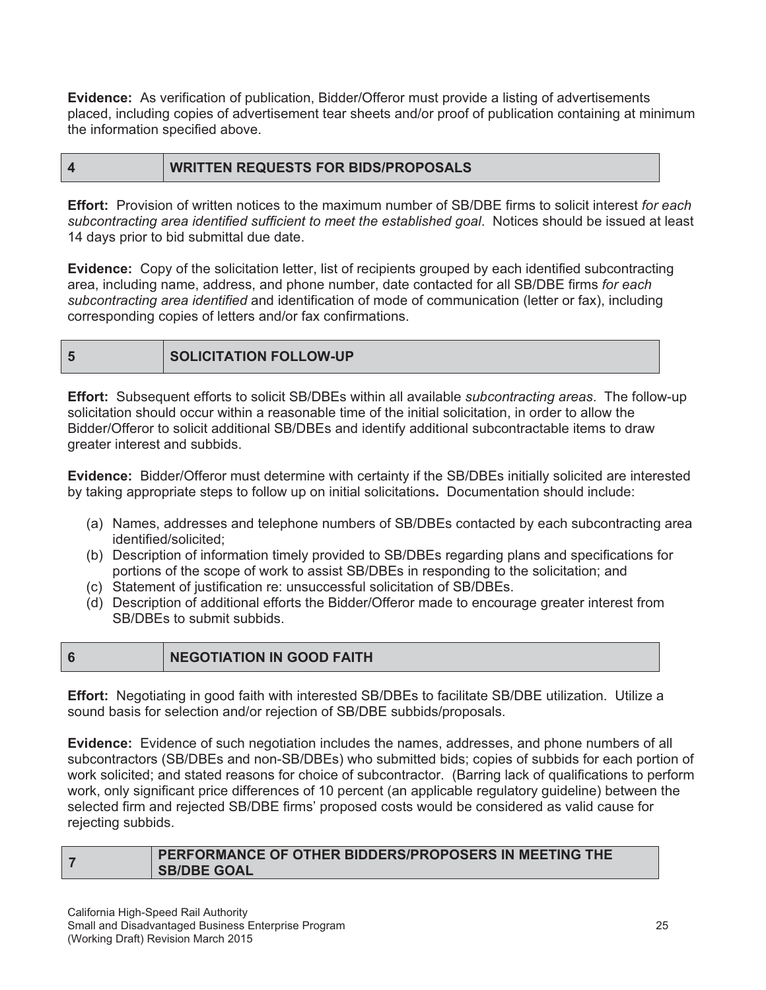**Evidence:** As verification of publication, Bidder/Offeror must provide a listing of advertisements placed, including copies of advertisement tear sheets and/or proof of publication containing at minimum the information specified above.

#### **WRITTEN REQUESTS FOR BIDS/PROPOSALS**  $\overline{\mathbf{4}}$ **4 WRITTEN REQUESTS FOR BIDS/PROPOSALS**

**Effort:** Provision of written notices to the maximum number of SB/DBE firms to solicit interest *for each subcontracting area identified sufficient to meet the established goal*. Notices should be issued at least 14 days prior to bid submittal due date.

**Evidence:** Copy of the solicitation letter, list of recipients grouped by each identified subcontracting area, including name, address, and phone number, date contacted for all SB/DBE firms *for each subcontracting area identified* and identification of mode of communication (letter or fax), including corresponding copies of letters and/or fax confirmations.

#### **SOLICITATION FOLLOW-UP 5 Solicitation Following Following Following Following Following Following Following Following Following Following**

5

**Effort:** Subsequent efforts to solicit SB/DBEs within all available *subcontracting areas*. The follow-up solicitation should occur within a reasonable time of the initial solicitation, in order to allow the Bidder/Offeror to solicit additional SB/DBEs and identify additional subcontractable items to draw greater interest and subbids.

**Evidence:** Bidder/Offeror must determine with certainty if the SB/DBEs initially solicited are interested by taking appropriate steps to follow up on initial solicitations**.** Documentation should include:

- (a) Names, addresses and telephone numbers of SB/DBEs contacted by each subcontracting area identified/solicited;
- (b) Description of information timely provided to SB/DBEs regarding plans and specifications for portions of the scope of work to assist SB/DBEs in responding to the solicitation; and
- (c) Statement of justification re: unsuccessful solicitation of SB/DBEs.
- (d) Description of additional efforts the Bidder/Offeror made to encourage greater interest from SB/DBEs to submit subbids.
- 6 **NEGOTIATION IN GOOD FAITH 6 NEGOTIATION IN GOOD FAITH**

**Effort:** Negotiating in good faith with interested SB/DBEs to facilitate SB/DBE utilization. Utilize a sound basis for selection and/or rejection of SB/DBE subbids/proposals.

**Evidence:** Evidence of such negotiation includes the names, addresses, and phone numbers of all subcontractors (SB/DBEs and non-SB/DBEs) who submitted bids; copies of subbids for each portion of work solicited; and stated reasons for choice of subcontractor. (Barring lack of qualifications to perform work, only significant price differences of 10 percent (an applicable regulatory guideline) between the selected firm and rejected SB/DBE firms' proposed costs would be considered as valid cause for rejecting subbids.

#### PERFORMANCE OF OTHER BIDDERS/PROPOSERS IN MEETING THE **PERFORMANCE OF OTHER BIDDER GOAL SB/DBE GOAL**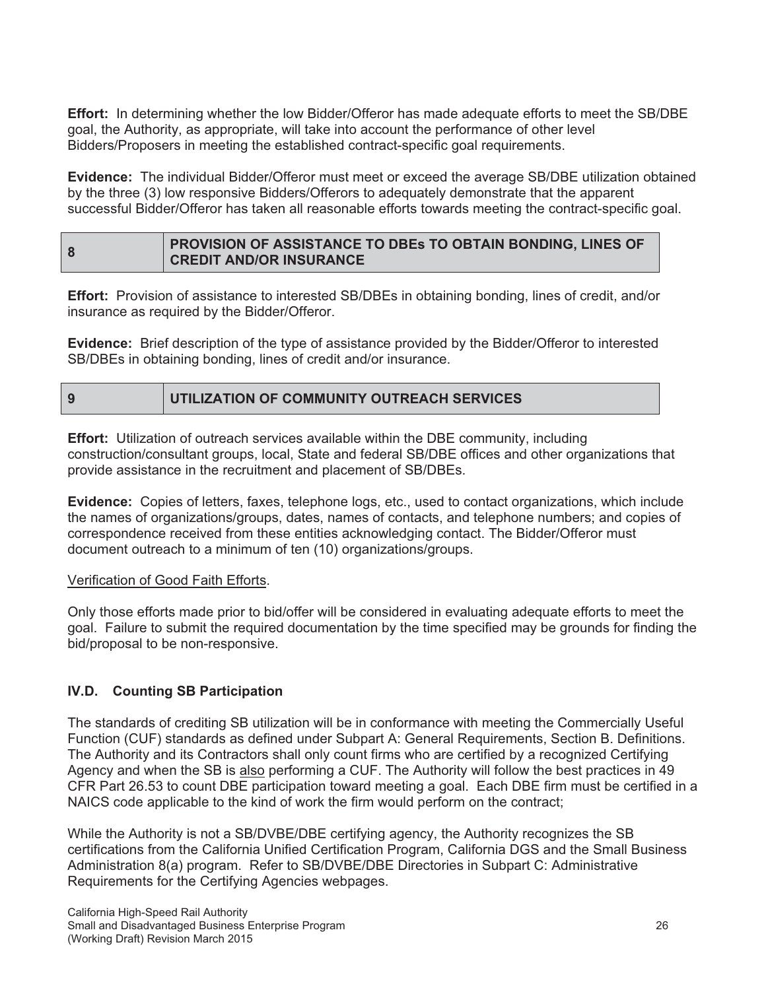**Effort:** In determining whether the low Bidder/Offeror has made adequate efforts to meet the SB/DBE goal, the Authority, as appropriate, will take into account the performance of other level Bidders/Proposers in meeting the established contract-specific goal requirements.

**Evidence:** The individual Bidder/Offeror must meet or exceed the average SB/DBE utilization obtained by the three (3) low responsive Bidders/Offerors to adequately demonstrate that the apparent successful Bidder/Offeror has taken all reasonable efforts towards meeting the contract-specific goal.

## **8 PROVISION OF ASSISTANCE TO DBEs TO OBTAIN BONDING, LINES OF CREDIT AND/OR INSURANCE**

**Effort:** Provision of assistance to interested SB/DBEs in obtaining bonding, lines of credit, and/or insurance as required by the Bidder/Offeror.

**Evidence:** Brief description of the type of assistance provided by the Bidder/Offeror to interested SB/DBEs in obtaining bonding, lines of credit and/or insurance.

#### $9$ **9 UTILIZATION OF COMMUNITY OUTREACH SERVICES**

**Effort:** Utilization of outreach services available within the DBE community, including construction/consultant groups, local, State and federal SB/DBE offices and other organizations that provide assistance in the recruitment and placement of SB/DBEs.

**Evidence:** Copies of letters, faxes, telephone logs, etc., used to contact organizations, which include the names of organizations/groups, dates, names of contacts, and telephone numbers; and copies of correspondence received from these entities acknowledging contact. The Bidder/Offeror must document outreach to a minimum of ten (10) organizations/groups.

#### Verification of Good Faith Efforts.

Only those efforts made prior to bid/offer will be considered in evaluating adequate efforts to meet the goal. Failure to submit the required documentation by the time specified may be grounds for finding the bid/proposal to be non-responsive.

## **IV.D. Counting SB Participation**

The standards of crediting SB utilization will be in conformance with meeting the Commercially Useful Function (CUF) standards as defined under Subpart A: General Requirements, Section B. Definitions. The Authority and its Contractors shall only count firms who are certified by a recognized Certifying Agency and when the SB is also performing a CUF. The Authority will follow the best practices in 49 CFR Part 26.53 to count DBE participation toward meeting a goal. Each DBE firm must be certified in a NAICS code applicable to the kind of work the firm would perform on the contract;

While the Authority is not a SB/DVBE/DBE certifying agency, the Authority recognizes the SB certifications from the California Unified Certification Program, California DGS and the Small Business Administration 8(a) program. Refer to SB/DVBE/DBE Directories in Subpart C: Administrative Requirements for the Certifying Agencies webpages.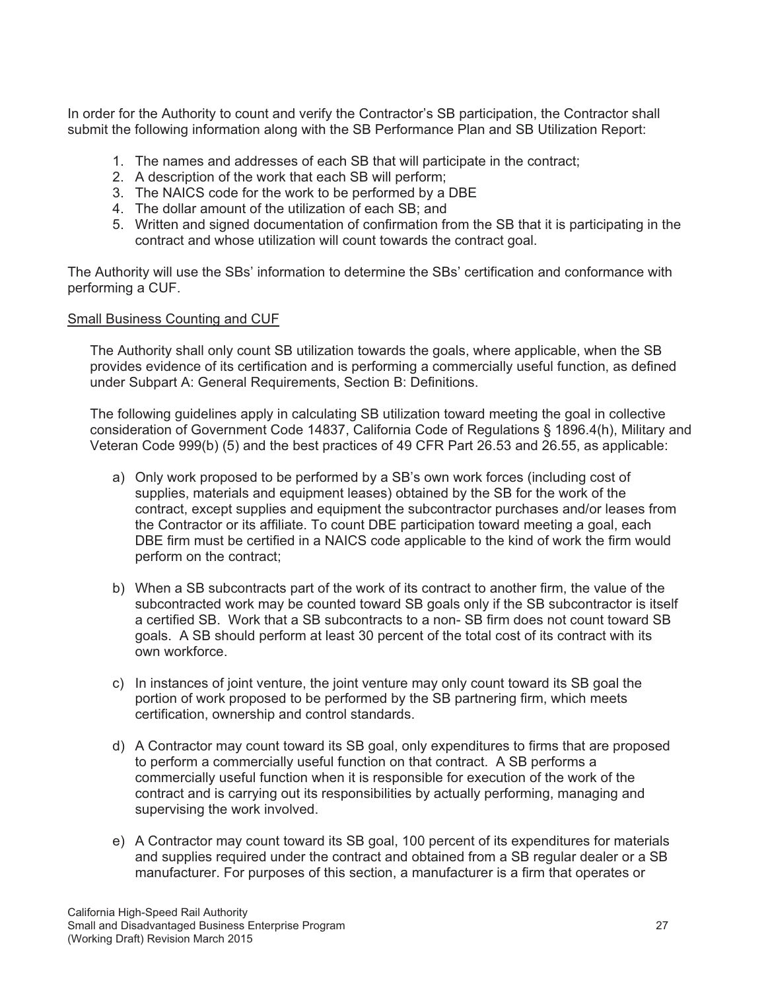In order for the Authority to count and verify the Contractor's SB participation, the Contractor shall submit the following information along with the SB Performance Plan and SB Utilization Report:

- 1. The names and addresses of each SB that will participate in the contract;
- 2. A description of the work that each SB will perform;
- 3. The NAICS code for the work to be performed by a DBE
- 4. The dollar amount of the utilization of each SB; and
- 5. Written and signed documentation of confirmation from the SB that it is participating in the contract and whose utilization will count towards the contract goal.

The Authority will use the SBs' information to determine the SBs' certification and conformance with performing a CUF.

#### Small Business Counting and CUF

The Authority shall only count SB utilization towards the goals, where applicable, when the SB provides evidence of its certification and is performing a commercially useful function, as defined under Subpart A: General Requirements, Section B: Definitions.

The following guidelines apply in calculating SB utilization toward meeting the goal in collective consideration of Government Code 14837, California Code of Regulations § 1896.4(h), Military and Veteran Code 999(b) (5) and the best practices of 49 CFR Part 26.53 and 26.55, as applicable:

- a) Only work proposed to be performed by a SB's own work forces (including cost of supplies, materials and equipment leases) obtained by the SB for the work of the contract, except supplies and equipment the subcontractor purchases and/or leases from the Contractor or its affiliate. To count DBE participation toward meeting a goal, each DBE firm must be certified in a NAICS code applicable to the kind of work the firm would perform on the contract;
- b) When a SB subcontracts part of the work of its contract to another firm, the value of the subcontracted work may be counted toward SB goals only if the SB subcontractor is itself a certified SB. Work that a SB subcontracts to a non- SB firm does not count toward SB goals. A SB should perform at least 30 percent of the total cost of its contract with its own workforce.
- c) In instances of joint venture, the joint venture may only count toward its SB goal the portion of work proposed to be performed by the SB partnering firm, which meets certification, ownership and control standards.
- d) A Contractor may count toward its SB goal, only expenditures to firms that are proposed to perform a commercially useful function on that contract. A SB performs a commercially useful function when it is responsible for execution of the work of the contract and is carrying out its responsibilities by actually performing, managing and supervising the work involved.
- e) A Contractor may count toward its SB goal, 100 percent of its expenditures for materials and supplies required under the contract and obtained from a SB regular dealer or a SB manufacturer. For purposes of this section, a manufacturer is a firm that operates or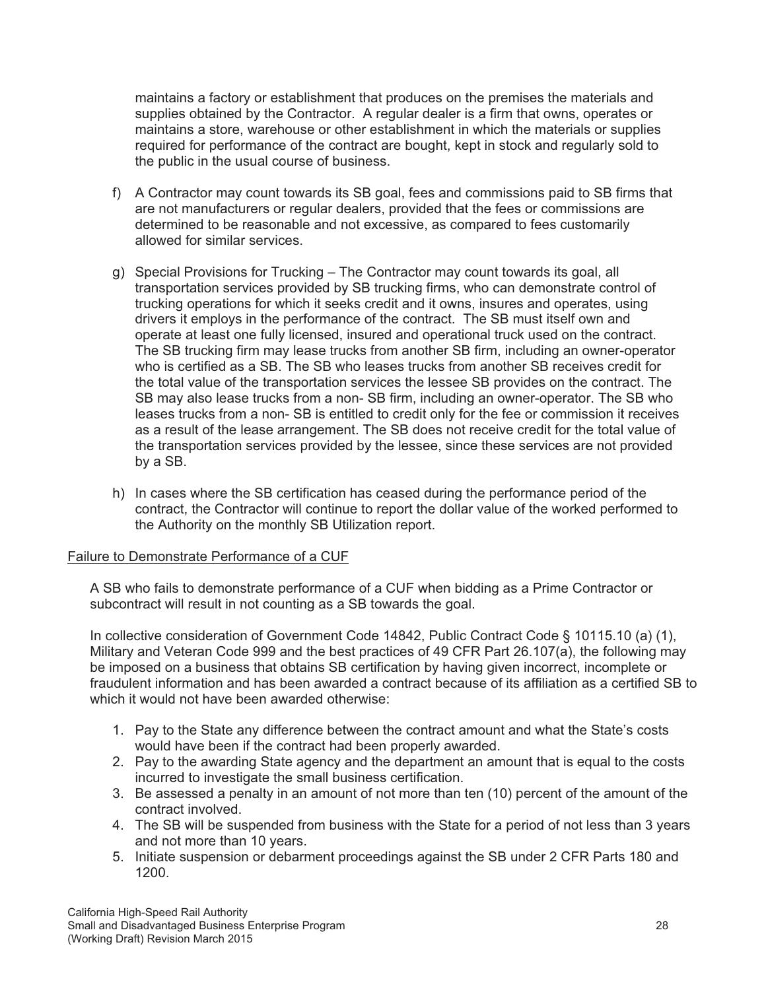maintains a factory or establishment that produces on the premises the materials and supplies obtained by the Contractor. A regular dealer is a firm that owns, operates or maintains a store, warehouse or other establishment in which the materials or supplies required for performance of the contract are bought, kept in stock and regularly sold to the public in the usual course of business.

- f) A Contractor may count towards its SB goal, fees and commissions paid to SB firms that are not manufacturers or regular dealers, provided that the fees or commissions are determined to be reasonable and not excessive, as compared to fees customarily allowed for similar services.
- g) Special Provisions for Trucking The Contractor may count towards its goal, all transportation services provided by SB trucking firms, who can demonstrate control of trucking operations for which it seeks credit and it owns, insures and operates, using drivers it employs in the performance of the contract. The SB must itself own and operate at least one fully licensed, insured and operational truck used on the contract. The SB trucking firm may lease trucks from another SB firm, including an owner-operator who is certified as a SB. The SB who leases trucks from another SB receives credit for the total value of the transportation services the lessee SB provides on the contract. The SB may also lease trucks from a non- SB firm, including an owner-operator. The SB who leases trucks from a non- SB is entitled to credit only for the fee or commission it receives as a result of the lease arrangement. The SB does not receive credit for the total value of the transportation services provided by the lessee, since these services are not provided by a SB.
- h) In cases where the SB certification has ceased during the performance period of the contract, the Contractor will continue to report the dollar value of the worked performed to the Authority on the monthly SB Utilization report.

#### Failure to Demonstrate Performance of a CUF

A SB who fails to demonstrate performance of a CUF when bidding as a Prime Contractor or subcontract will result in not counting as a SB towards the goal.

In collective consideration of Government Code 14842, Public Contract Code § [10115.10](http://www.hsr.ca.gov/) (a) (1), Military and Veteran Code 999 and the best practices of 49 CFR Part 26.107(a), the following may be imposed on a business that obtains SB certification by having given incorrect, incomplete or fraudulent information and has been awarded a contract because of its affiliation as a certified SB to which it would not have been awarded otherwise:

- 1. Pay to the State any difference between the contract amount and what the State's costs would have been if the contract had been properly awarded.
- 2. Pay to the awarding State agency and the department an amount that is equal to the costs incurred to investigate the small business certification.
- 3. Be assessed a penalty in an amount of not more than ten (10) percent of the amount of the contract involved.
- 4. The SB will be suspended from business with the State for a period of not less than 3 years and not more than 10 years.
- 5. Initiate suspension or debarment proceedings against the SB under 2 CFR Parts 180 and 1200.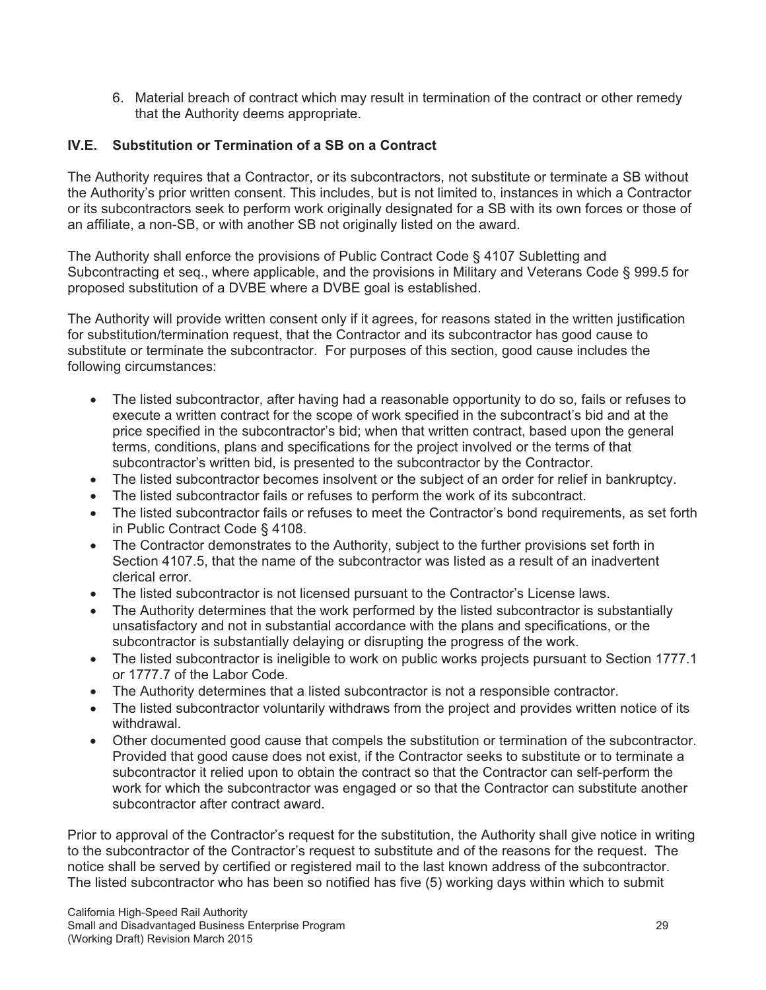6. Material breach of contract which may result in termination of the contract or other remedy that the Authority deems appropriate.

#### IV.E. Substitution or Termination of a SB on a Contract **IV.E. Substitution or Termination of a SB on a Contract**

The Authority requires that a Contractor, or its subcontractors, not substitute or terminate a SB without the Authority's prior written consent. This includes, but is not limited to, instances in which a Contractor or its subcontractors seek to perform work originally designated for a SB with its own forces or those of an affiliate, a non-SB, or with another SB not originally listed on the award.

The Authority shall enforce the provisions of Public Contract Code § 4107 Subletting and Subcontracting et seq., where applicable, and the provisions in Military and Veterans Code § 999.5 for proposed substitution of a DVBE where a DVBE goal is established.

The Authority will provide written consent only if it agrees, for reasons stated in the written justification for substitution/termination request, that the Contractor and its subcontractor has good cause to substitute or terminate the subcontractor. For purposes of this section, good cause includes the following circumstances:

- - The listed subcontractor, after having had a reasonable opportunity to do so, fails or refuses to execute a written contract for the scope of work specified in the subcontract's bid and at the price specified in the subcontractor's bid; when that written contract, based upon the general terms, conditions, plans and specifications for the project involved or the terms of that subcontractor's written bid, is presented to the subcontractor by the Contractor.
- $\bullet$ The listed subcontractor becomes insolvent or the subject of an order for relief in bankruptcy.
- -The listed subcontractor fails or refuses to perform the work of its subcontract.
- - The listed subcontractor fails or refuses to meet the Contractor's bond requirements, as set forth in Public Contract Code § 4108.
- $\bullet$  The Contractor demonstrates to the Authority, subject to the further provisions set forth in Section 4107.5, that the name of the subcontractor was listed as a result of an inadvertent clerical error.
- -The listed subcontractor is not licensed pursuant to the Contractor's License laws.
- - The Authority determines that the work performed by the listed subcontractor is substantially unsatisfactory and not in substantial accordance with the plans and specifications, or the subcontractor is substantially delaying or disrupting the progress of the work.
- The listed subcontractor is ineligible to work on public works projects pursuant to Section 1777.1 or 1777.7 of the Labor Code.
- -The Authority determines that a listed subcontractor is not a responsible contractor.
- The listed subcontractor voluntarily withdraws from the project and provides written notice of its withdrawal.
- Other documented good cause that compels the substitution or termination of the subcontractor. Provided that good cause does not exist, if the Contractor seeks to substitute or to terminate a subcontractor it relied upon to obtain the contract so that the Contractor can self-perform the work for which the subcontractor was engaged or so that the Contractor can substitute another subcontractor after contract award.

Prior to approval of the Contractor's request for the substitution, the Authority shall give notice in writing to the subcontractor of the Contractor's request to substitute and of the reasons for the request. The notice shall be served by certified or registered mail to the last known address of the subcontractor. The listed subcontractor who has been so notified has five (5) working days within which to submit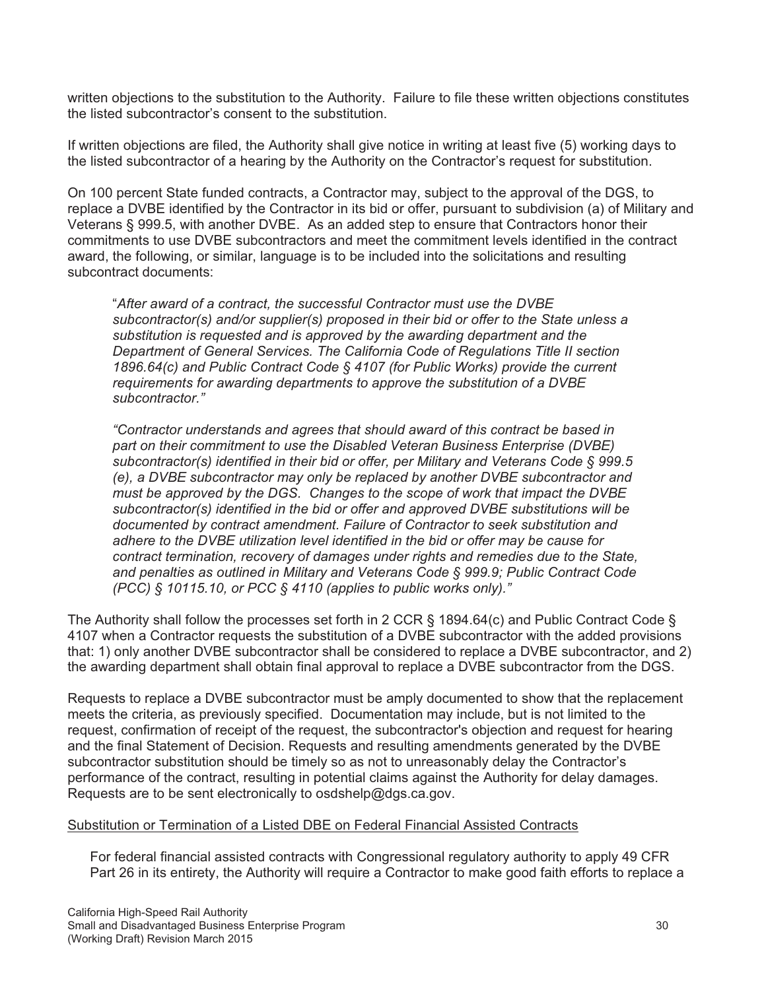written objections to the substitution to the Authority. Failure to file these written objections constitutes the listed subcontractor's consent to the substitution.

If written objections are filed, the Authority shall give notice in writing at least five (5) working days to the listed subcontractor of a hearing by the Authority on the Contractor's request for substitution.

On 100 percent State funded contracts, a Contractor may, subject to the approval of the DGS, to replace a DVBE identified by the Contractor in its bid or offer, pursuant to subdivision (a) of Military and Veterans § 999.5, with another DVBE. As an added step to ensure that Contractors honor their commitments to use DVBE subcontractors and meet the commitment levels identified in the contract award, the following, or similar, language is to be included into the solicitations and resulting subcontract documents:

"*After award of a contract, the successful Contractor must use the DVBE subcontractor(s) and/or supplier(s) proposed in their bid or offer to the State unless a substitution is requested and is approved by the awarding department and the Department of General Services. The California Code of Regulations Title II section 1896.64(c) and Public Contract Code § 4107 (for Public Works) provide the current requirements for awarding departments to approve the substitution of a DVBE subcontractor."* 

*"Contractor understands and agrees that should award of this contract be based in part on their commitment to use the Disabled Veteran Business Enterprise (DVBE) subcontractor(s) identified in their bid or offer, per Military and Veterans Code § 999.5 (e), a DVBE subcontractor may only be replaced by another DVBE subcontractor and must be approved by the DGS. Changes to the scope of work that impact the DVBE subcontractor(s) identified in the bid or offer and approved DVBE substitutions will be documented by contract amendment. Failure of Contractor to seek substitution and adhere to the DVBE utilization level identified in the bid or offer may be cause for contract termination, recovery of damages under rights and remedies due to the State, and penalties as outlined in Military and Veterans Code § 999.9; Public Contract Code (PCC) § [10115.10,](http://www.hsr.ca.gov/) or PCC § 4110 (applies to public works only)."* 

The Authority shall follow the processes set forth in 2 CCR § 1894.64(c) and Public Contract Code § 4107 when a Contractor requests the substitution of a DVBE subcontractor with the added provisions that: 1) only another DVBE subcontractor shall be considered to replace a DVBE subcontractor, and 2) the awarding department shall obtain final approval to replace a DVBE subcontractor from the DGS.

Requests to replace a DVBE subcontractor must be amply documented to show that the replacement meets the criteria, as previously specified. Documentation may include, but is not limited to the request, confirmation of receipt of the request, the subcontractor's objection and request for hearing and the final Statement of Decision. Requests and resulting amendments generated by the DVBE subcontractor substitution should be timely so as not to unreasonably delay the Contractor's performance of the contract, resulting in potential claims against the Authority for delay damages. Requests are to be sent electronically to [osdshelp@dgs.ca.gov.](mailto:osdshelp@dgs.ca.gov)

#### Substitution or Termination of a Listed DBE on Federal Financial Assisted Contracts

For federal financial assisted contracts with Congressional regulatory authority to apply 49 CFR Part 26 in its entirety, the Authority will require a Contractor to make good faith efforts to replace a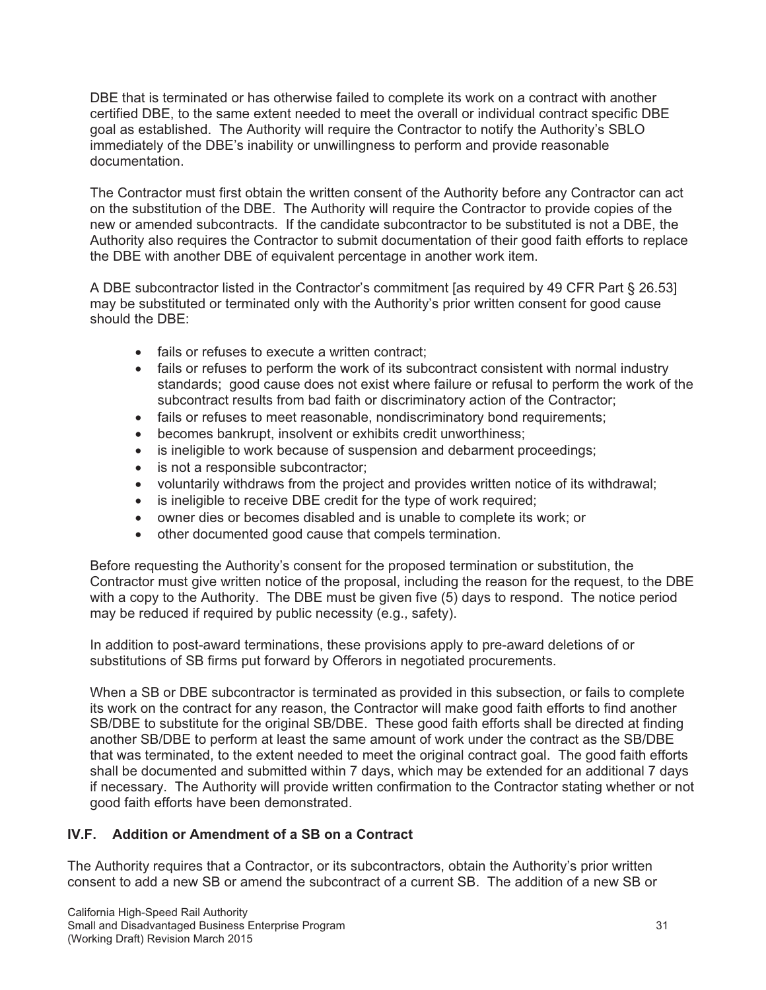DBE that is terminated or has otherwise failed to complete its work on a contract with another certified DBE, to the same extent needed to meet the overall or individual contract specific DBE goal as established. The Authority will require the Contractor to notify the Authority's SBLO immediately of the DBE's inability or unwillingness to perform and provide reasonable documentation.

The Contractor must first obtain the written consent of the Authority before any Contractor can act on the substitution of the DBE. The Authority will require the Contractor to provide copies of the new or amended subcontracts. If the candidate subcontractor to be substituted is not a DBE, the Authority also requires the Contractor to submit documentation of their good faith efforts to replace the DBE with another DBE of equivalent percentage in another work item.

A DBE subcontractor listed in the Contractor's commitment [as required by 49 CFR Part § 26.53] may be substituted or terminated only with the Authority's prior written consent for good cause should the DBE:

- fails or refuses to execute a written contract;
- fails or refuses to perform the work of its subcontract consistent with normal industry standards; good cause does not exist where failure or refusal to perform the work of the subcontract results from bad faith or discriminatory action of the Contractor;
- fails or refuses to meet reasonable, nondiscriminatory bond requirements;
- becomes bankrupt, insolvent or exhibits credit unworthiness;
- is ineligible to work because of suspension and debarment proceedings;
- is not a responsible subcontractor;
- voluntarily withdraws from the project and provides written notice of its withdrawal;
- $\bullet$  is ineligible to receive DBE credit for the type of work required;
- owner dies or becomes disabled and is unable to complete its work; or
- other documented good cause that compels termination.

Before requesting the Authority's consent for the proposed termination or substitution, the Contractor must give written notice of the proposal, including the reason for the request, to the DBE with a copy to the Authority. The DBE must be given five (5) days to respond. The notice period may be reduced if required by public necessity (e.g., safety).

In addition to post-award terminations, these provisions apply to pre-award deletions of or substitutions of SB firms put forward by Offerors in negotiated procurements.

When a SB or DBE subcontractor is terminated as provided in this subsection, or fails to complete its work on the contract for any reason, the Contractor will make good faith efforts to find another SB/DBE to substitute for the original SB/DBE. These good faith efforts shall be directed at finding another SB/DBE to perform at least the same amount of work under the contract as the SB/DBE that was terminated, to the extent needed to meet the original contract goal. The good faith efforts shall be documented and submitted within 7 days, which may be extended for an additional 7 days if necessary. The Authority will provide written confirmation to the Contractor stating whether or not good faith efforts have been demonstrated.

#### IV.F. Addition or Amendment of a SB on a Contract **IV.F. Addition or Amendment of a SB on a Contract**

The Authority requires that a Contractor, or its subcontractors, obtain the Authority's prior written consent to add a new SB or amend the subcontract of a current SB. The addition of a new SB or